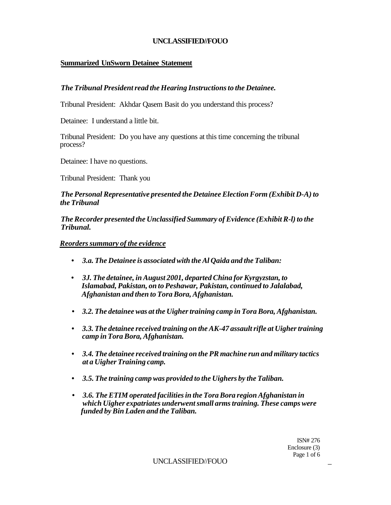## **Summarized UnSworn Detainee Statement**

## *The Tribunal President read the Hearing Instructions to the Detainee.*

Tribunal President: Akhdar Qasem Basit do you understand this process?

Detainee: I understand a little bit.

Tribunal President: Do you have any questions at this time concerning the tribunal process?

Detainee: I have no questions.

Tribunal President: Thank you

## *The Personal Representative presented the Detainee Election Form (Exhibit D-A) to the Tribunal*

*The Recorder presented the Unclassified Summary of Evidence (Exhibit R-l) to the Tribunal.* 

#### *Reorders summary of the evidence*

- *3.a. The Detainee is associated with the Al Qaida and the Taliban:*
- *3J. The detainee, in August 2001, departed China for Kyrgyzstan, to Islamabad, Pakistan, on to Peshawar, Pakistan, continued to Jalalabad, Afghanistan and then to Tora Bora, Afghanistan.*
- **•** *3.2. The detainee was at the Uigher training camp in Tora Bora, Afghanistan.*
- **•** *3.3. The detainee received training on the AK-47 assault rifle at Uigher training camp in Tora Bora, Afghanistan.*
- **•** *3.4. The detainee received training on the PR machine run and military tactics at a Uigher Training camp.*
- *3.5. The training camp was provided to the Uighers by the Taliban.*
- *3.6. The ETIM operated facilities in the Tora Bora region Afghanistan in which Uigher expatriates underwent small arms training. These camps were funded by Bin Laden and the Taliban.*

ISN# 276 Enclosure (3) Page 1 of 6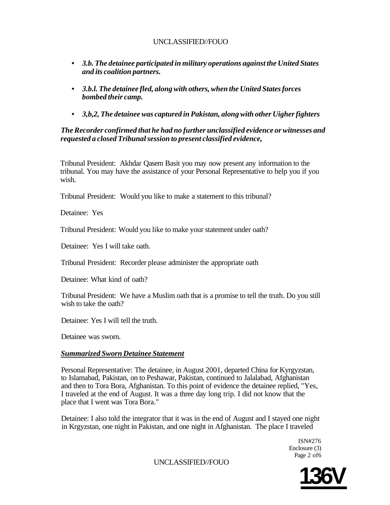- **•** *3.b. The detainee participated in military operations against the United States and its coalition partners.*
- *3.b.l. The detainee fled, along with others, when the United States forces bombed their camp.*
- *3,b,2, The detainee was captured in Pakistan, along with other Uigher fighters*

## *The Recorder confirmed that he had no further unclassified evidence or witnesses and requested a closed Tribunal session to present classified evidence,*

Tribunal President: Akhdar Qasem Basit you may now present any information to the tribunal. You may have the assistance of your Personal Representative to help you if you wish.

Tribunal President: Would you like to make a statement to this tribunal?

Detainee: Yes

Tribunal President: Would you like to make your statement under oath?

Detainee: Yes I will take oath.

Tribunal President: Recorder please administer the appropriate oath

Detainee: What kind of oath?

Tribunal President: We have a Muslim oath that is a promise to tell the truth. Do you still wish to take the oath?

Detainee: Yes I will tell the truth.

Detainee was sworn.

## *Summarized Sworn Detainee Statement*

Personal Representative: The detainee, in August 2001, departed China for Kyrgyzstan, to Islamabad, Pakistan, on to Peshawar, Pakistan, continued to Jalalabad, Afghanistan and then to Tora Bora, Afghanistan. To this point of evidence the detainee replied, "Yes, I traveled at the end of August. It was a three day long trip. I did not know that the place that I went was Tora Bora."

Detainee: I also told the integrator that it was in the end of August and I stayed one night in Krgyzstan, one night in Pakistan, and one night in Afghanistan. The place I traveled

> ISN#276 Enclosure (3) Page 2 of6

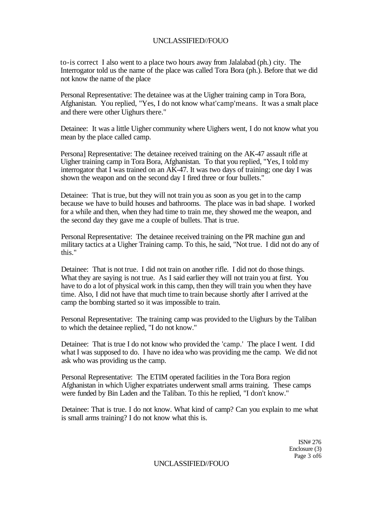to-is correct I also went to a place two hours away from Jalalabad (ph.) city. The Interrogator told us the name of the place was called Tora Bora (ph.). Before that we did not know the name of the place

Personal Representative: The detainee was at the Uigher training camp in Tora Bora, Afghanistan. You replied, "Yes, I do not know what'camp'means. It was a smalt place and there were other Uighurs there."

Detainee: It was a little Uigher community where Uighers went, I do not know what you mean by the place called camp.

Persona] Representative: The detainee received training on the AK-47 assault rifle at Uigher training camp in Tora Bora, Afghanistan. To that you replied, "Yes, I told my interrogator that I was trained on an AK-47. It was two days of training; one day I was shown the weapon and on the second day I fired three or four bullets."

Detainee: That is true, but they will not train you as soon as you get in to the camp because we have to build houses and bathrooms. The place was in bad shape. I worked for a while and then, when they had time to train me, they showed me the weapon, and the second day they gave me a couple of bullets. That is true.

Personal Representative: The detainee received training on the PR machine gun and military tactics at a Uigher Training camp. To this, he said, "Not true. I did not do any of this."

Detainee: That is not true. I did not train on another rifle. I did not do those things. What they are saying is not true. As I said earlier they will not train you at first. You have to do a lot of physical work in this camp, then they will train you when they have time. Also, I did not have that much time to train because shortly after I arrived at the camp the bombing started so it was impossible to train.

Personal Representative: The training camp was provided to the Uighurs by the Taliban to which the detainee replied, "I do not know."

Detainee: That is true I do not know who provided the 'camp.' The place I went. I did what I was supposed to do. I have no idea who was providing me the camp. We did not ask who was providing us the camp.

Personal Representative: The ETIM operated facilities in the Tora Bora region Afghanistan in which Uigher expatriates underwent small arms training. These camps were funded by Bin Laden and the Taliban. To this he replied, "I don't know."

Detainee: That is true. I do not know. What kind of camp? Can you explain to me what is small arms training? I do not know what this is.

> ISN# 276 Enclosure (3) Page 3 of6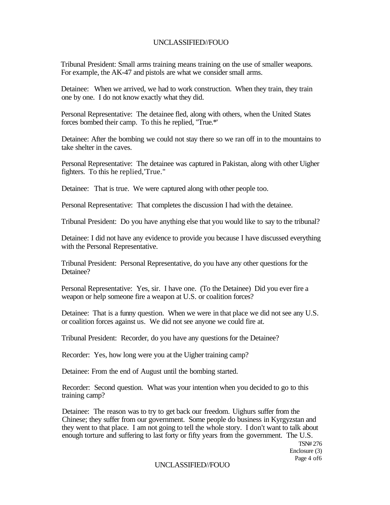Tribunal President: Small arms training means training on the use of smaller weapons. For example, the AK-47 and pistols are what we consider small arms.

Detainee: When we arrived, we had to work construction. When they train, they train one by one. I do not know exactly what they did.

Personal Representative: The detainee fled, along with others, when the United States forces bombed their camp. To this he replied, "True.\*'

Detainee: After the bombing we could not stay there so we ran off in to the mountains to take shelter in the caves.

Personal Representative: The detainee was captured in Pakistan, along with other Uigher fighters. To this he replied,'True."

Detainee: That is true. We were captured along with other people too.

Personal Representative: That completes the discussion I had with the detainee.

Tribunal President: Do you have anything else that you would like to say to the tribunal?

Detainee: I did not have any evidence to provide you because I have discussed everything with the Personal Representative.

Tribunal President: Personal Representative, do you have any other questions for the Detainee?

Personal Representative: Yes, sir. I have one. (To the Detainee) Did you ever fire a weapon or help someone fire a weapon at U.S. or coalition forces?

Detainee: That is a funny question. When we were in that place we did not see any U.S. or coalition forces against us. We did not see anyone we could fire at.

Tribunal President: Recorder, do you have any questions for the Detainee?

Recorder: Yes, how long were you at the Uigher training camp?

Detainee: From the end of August until the bombing started.

Recorder: Second question. What was your intention when you decided to go to this training camp?

Detainee: The reason was to try to get back our freedom. Uighurs suffer from the Chinese; they suffer from our government. Some people do business in Kyrgyzstan and they went to that place. I am not going to tell the whole story. I don't want to talk about enough torture and suffering to last forty or fifty years from the government. The U.S.

> TSN# 276 Enclosure (3) Page 4 of6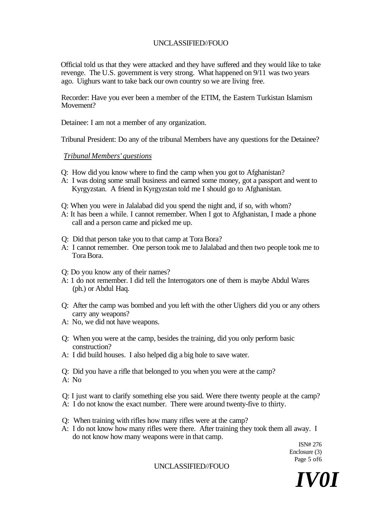Official told us that they were attacked and they have suffered and they would like to take revenge. The U.S. government is very strong. What happened on 9/11 was two years ago. Uighurs want to take back our own country so we are living free.

Recorder: Have you ever been a member of the ETIM, the Eastern Turkistan Islamism Movement?

Detainee: I am not a member of any organization.

Tribunal President: Do any of the tribunal Members have any questions for the Detainee?

#### *Tribunal Members' questions*

- Q: How did you know where to find the camp when you got to Afghanistan?
- A: I was doing some small business and earned some money, got a passport and went to Kyrgyzstan. A friend in Kyrgyzstan told me I should go to Afghanistan.
- Q: When you were in Jalalabad did you spend the night and, if so, with whom?
- A: It has been a while. I cannot remember. When I got to Afghanistan, I made a phone call and a person came and picked me up.
- Q: Did that person take you to that camp at Tora Bora?
- A: I cannot remember. One person took me to Jalalabad and then two people took me to Tora Bora.
- Q: Do you know any of their names?
- A: 1 do not remember. I did tell the Interrogators one of them is maybe Abdul Wares (ph.) or Abdul Haq.
- Q: After the camp was bombed and you left with the other Uighers did you or any others carry any weapons?
- A: No, we did not have weapons.
- Q: When you were at the camp, besides the training, did you only perform basic construction?
- A: I did build houses. I also helped dig a big hole to save water.
- Q: Did you have a rifle that belonged to you when you were at the camp?
- A: No
- Q: I just want to clarify something else you said. Were there twenty people at the camp?
- A: I do not know the exact number. There were around twenty-five to thirty.
- Q: When training with rifles how many rifles were at the camp?
- A: I do not know how many rifles were there. After training they took them all away. I do not know how many weapons were in that camp.

ISN# 276 Enclosure (3) Page 5 of6

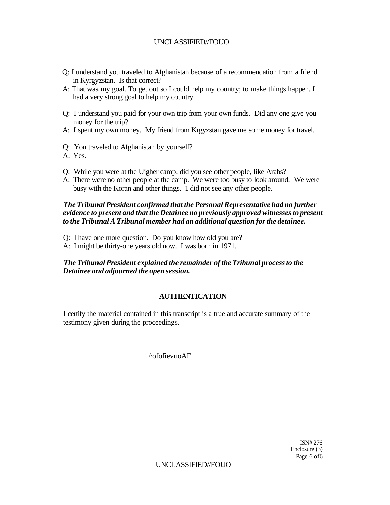- Q: I understand you traveled to Afghanistan because of a recommendation from a friend in Kyrgyzstan. Is that correct?
- A: That was my goal. To get out so I could help my country; to make things happen. I had a very strong goal to help my country.
- Q: I understand you paid for your own trip from your own funds. Did any one give you money for the trip?
- A: I spent my own money. My friend from Krgyzstan gave me some money for travel.
- Q: You traveled to Afghanistan by yourself?
- A: Yes.
- Q: While you were at the Uigher camp, did you see other people, like Arabs?
- A: There were no other people at the camp. We were too busy to look around. We were busy with the Koran and other things. 1 did not see any other people.

*The Tribunal President confirmed that the Personal Representative had no further evidence to present and that the Detainee no previously approved witnesses to present to the Tribunal A Tribunal member had an additional question for the detainee.* 

- Q: I have one more question. Do you know how old you are?
- A: I might be thirty-one years old now. I was born in 1971.

## *The Tribunal President explained the remainder of the Tribunal process to the Detainee and adjourned the open session.*

## **AUTHENTICATION**

I certify the material contained in this transcript is a true and accurate summary of the testimony given during the proceedings.

^ofofievuoAF

ISN# 276 Enclosure (3) Page 6 of6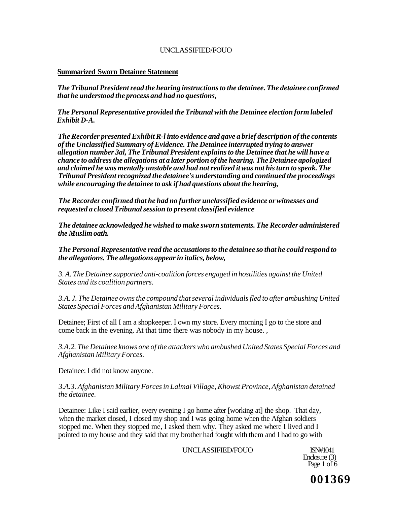## **Summarized Sworn Detainee Statement**

*The Tribunal President read the hearing instructions to the detainee. The detainee confirmed that he understood the process and had no questions,* 

*The Personal Representative provided the Tribunal with the Detainee election form labeled Exhibit D-A.* 

*The Recorder presented Exhibit R-l into evidence and gave a brief description of the contents of the Unclassified Summary of Evidence. The Detainee interrupted trying to answer allegation number 3al, The Tribunal President explains to the Detainee that he will have a chance to address the allegations at a later portion of the hearing. The Detainee apologized and claimed he was mentally unstable and had not realized it was not his turn to speak. The Tribunal President recognized the detainee's understanding and continued the proceedings while encouraging the detainee to ask if had questions about the hearing,* 

*The Recorder confirmed that he had no further unclassified evidence or witnesses and requested a closed Tribunal session to present classified evidence* 

*The detainee acknowledged he wished to make sworn statements. The Recorder administered the Muslim oath.* 

*The Personal Representative read the accusations to the detainee so that he could respond to the allegations. The allegations appear in italics, below,* 

*3. A. The Detainee supported anti-coalition forces engaged in hostilities against the United States and its coalition partners.* 

*3.A. J. The Detainee owns the compound that several individuals fled to after ambushing United States Special Forces and Afghanistan Military Forces.* 

Detainee; First of all I am a shopkeeper. I own my store. Every morning I go to the store and come back in the evening. At that time there was nobody in my house. ,

*3.A.2. The Detainee knows one of the attackers who ambushed United States Special Forces and Afghanistan Military Forces.* 

Detainee: I did not know anyone.

*3.A.3. Afghanistan Military Forces in Lalmai Village, Khowst Province, Afghanistan detained the detainee.* 

Detainee: Like I said earlier, every evening I go home after [working at] the shop. That day, when the market closed, I closed my shop and I was going home when the Afghan soldiers stopped me. When they stopped me, I asked them why. They asked me where I lived and I pointed to my house and they said that my brother had fought with them and I had to go with

UNCLASSIFIED/FOUO ISN#1041

Enclosure (3) Page  $1$  of  $6$ 

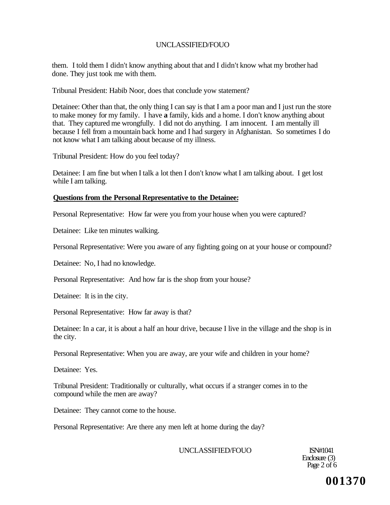them. I told them I didn't know anything about that and I didn't know what my brother had done. They just took me with them.

Tribunal President: Habib Noor, does that conclude yow statement?

Detainee: Other than that, the only thing I can say is that I am a poor man and I just run the store to make money for my family. I have **a** family, kids and a home. I don't know anything about that. They captured me wrongfully. I did not do anything. I am innocent. I am mentally ill because I fell from a mountain back home and I had surgery in Afghanistan. So sometimes I do not know what I am talking about because of my illness.

Tribunal President: How do you feel today?

Detainee: I am fine but when I talk a lot then I don't know what I am talking about. I get lost while I am talking.

#### **Questions from the Personal Representative to the Detainee:**

Personal Representative: How far were you from your house when you were captured?

Detainee: Like ten minutes walking.

Personal Representative: Were you aware of any fighting going on at your house or compound?

Detainee: No, I had no knowledge.

Personal Representative: And how far is the shop from your house?

Detainee: It is in the city.

Personal Representative: How far away is that?

Detainee: In a car, it is about a half an hour drive, because I live in the village and the shop is in the city.

Personal Representative: When you are away, are your wife and children in your home?

Detainee: Yes.

Tribunal President: Traditionally or culturally, what occurs if a stranger comes in to the compound while the men are away?

Detainee: They cannot come to the house.

Personal Representative: Are there any men left at home during the day?

UNCLASSIFIED/FOUO ISN#1041

Enclosure (3) Page  $2$  of  $6$ 

**001370**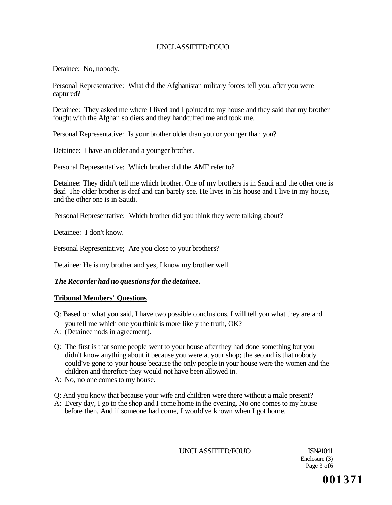Detainee: No, nobody.

Personal Representative: What did the Afghanistan military forces tell you. after you were captured?

Detainee: They asked me where I lived and I pointed to my house and they said that my brother fought with the Afghan soldiers and they handcuffed me and took me.

Personal Representative: Is your brother older than you or younger than you?

Detainee: I have an older and a younger brother.

Personal Representative: Which brother did the AMF refer to?

Detainee: They didn't tell me which brother. One of my brothers is in Saudi and the other one is deaf. The older brother is deaf and can barely see. He lives in his house and I live in my house, and the other one is in Saudi.

Personal Representative: Which brother did you think they were talking about?

Detainee: I don't know.

Personal Representative; Are you close to your brothers?

Detainee: He is my brother and yes, I know my brother well.

## *The Recorder had no questions for the detainee.*

#### **Tribunal Members' Questions**

- Q: Based on what you said, I have two possible conclusions. I will tell you what they are and you tell me which one you think is more likely the truth, OK?
- A: (Detainee nods in agreement).
- Q: The first is that some people went to your house after they had done something but you didn't know anything about it because you were at your shop; the second is that nobody could've gone to your house because the only people in your house were the women and the children and therefore they would not have been allowed in.
- A: No, no one comes to my house.
- Q: And you know that because your wife and children were there without a male present?
- A: Every day, I go to the shop and I come home in the evening. No one comes to my house before then. And if someone had come, I would've known when I got home.

UNCLASSIFIED/FOUO ISN#1041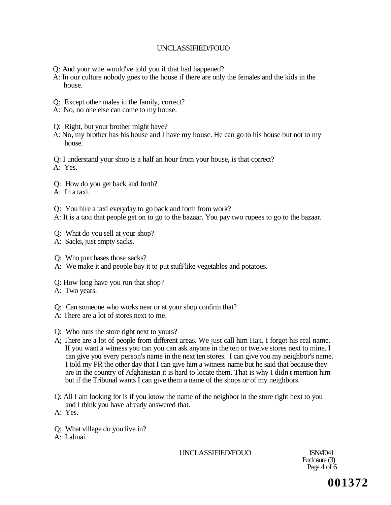- Q: And your wife would've told you if that had happened?
- A: In our culture nobody goes to the house if there are only the females and the kids in the house.
- Q: Except other males in the family, correct?
- A: No, no one else can come to my house.
- Q: Right, but your brother might have?
- A: No, my brother has his house and I have my house. He can go to his house but not to my house.

Q: I understand your shop is a half an hour from your house, is that correct?

A: Yes.

- Q: How do you get back and forth?
- A: In a taxi.
- Q: You hire a taxi everyday to go back and forth from work?

A: It is a taxi that people get on to go to the bazaar. You pay two rupees to go to the bazaar.

- Q: What do you sell at your shop?
- A: Sacks, just empty sacks.
- Q: Who purchases those sacks?
- A: We make it and people buy it to put stufFlike vegetables and potatoes.
- Q: How long have you run that shop?
- A: Two years.
- Q: Can someone who works near or at your shop confirm that?
- A: There are a lot of stores next to me.
- Q: Who runs the store right next to yours?
- A; There are a lot of people from different areas. We just call him Haji. I forgot his real name. If you want a witness you can you can ask anyone in the ten or twelve stores next to mine. I can give you every person's name in the next ten stores. I can give you my neighbor's name. I told my PR the other day that I can give him a witness name but he said that because they are in the country of Afghanistan it is hard to locate them. That is why I didn't mention him but if the Tribunal wants I can give them a name of the shops or of my neighbors.
- Q: All I am looking for is if you know the name of the neighbor in the store right next to you and I think you have already answered that.

A: Yes.

- Q: What village do you live in?
- A: Lalmai.

UNCLASSIFIED/FOUO ISN#I041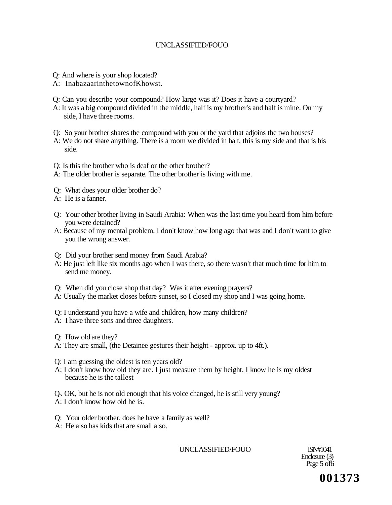- Q: And where is your shop located?
- A: InabazaarinthetownofKhowst.
- Q: Can you describe your compound? How large was it? Does it have a courtyard?
- A: It was a big compound divided in the middle, half is my brother's and half is mine. On my side, I have three rooms.
- Q: So your brother shares the compound with you or the yard that adjoins the two houses?
- A: We do not share anything. There is a room we divided in half, this is my side and that is his side.
- Q: Is this the brother who is deaf or the other brother?
- A: The older brother is separate. The other brother is living with me.
- Q: What does your older brother do?
- A: He is a fanner.
- Q: Your other brother living in Saudi Arabia: When was the last time you heard from him before you were detained?
- A: Because of my mental problem, I don't know how long ago that was and I don't want to give you the wrong answer.
- Q: Did your brother send money from Saudi Arabia?
- A: He just left like six months ago when I was there, so there wasn't that much time for him to send me money.
- Q: When did you close shop that day? Was it after evening prayers?
- A: Usually the market closes before sunset, so I closed my shop and I was going home.
- Q: I understand you have a wife and children, how many children?
- A: I have three sons and three daughters.
- Q: How old are they?
- A: They are small, (the Detainee gestures their height approx. up to 4ft.).
- Q: I am guessing the oldest is ten years old?
- A; I don't know how old they are. I just measure them by height. I know he is my oldest because he is the tallest

Q-. OK, but he is not old enough that his voice changed, he is still very young?

- A: I don't know how old he is.
- Q: Your older brother, does he have a family as well?
- A: He also has kids that are small also.

UNCLASSIFIED/FOUO ISN#1041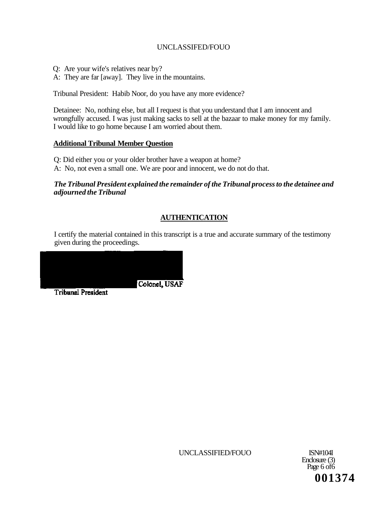Q: Are your wife's relatives near by?

A: They are far [away]. They live in the mountains.

Tribunal President: Habib Noor, do you have any more evidence?

Detainee: No, nothing else, but all I request is that you understand that I am innocent and wrongfully accused. I was just making sacks to sell at the bazaar to make money for my family. I would like to go home because I am worried about them.

## **Additional Tribunal Member Question**

Q: Did either you or your older brother have a weapon at home?

A: No, not even a small one. We are poor and innocent, we do not do that.

## *The Tribunal President explained the remainder of the Tribunal process to the detainee and adjourned the Tribunal*

# **AUTHENTICATION**

I certify the material contained in this transcript is a true and accurate summary of the testimony given during the proceedings.



UNCLASSIFIED/FOUO ISN#104I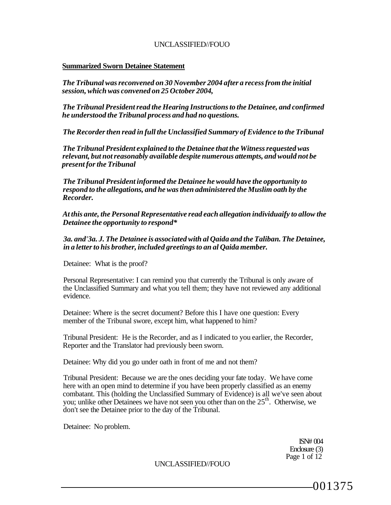#### **Summarized Sworn Detainee Statement**

*The Tribunal was reconvened on 30 November 2004 after a recess from the initial session, which was convened on 25 October 2004,* 

*The Tribunal President read the Hearing Instructions to the Detainee, and confirmed he understood the Tribunal process and had no questions.* 

*The Recorder then read in full the Unclassified Summary of Evidence to the Tribunal* 

*The Tribunal President explained to the Detainee that the Witness requested was relevant, but not reasonably available despite numerous attempts, and would not be present for the Tribunal* 

*The Tribunal President informed the Detainee he would have the opportunity to respond to the allegations, and he was then administered the Muslim oath by the Recorder.* 

*At this ante, the Personal Representative read each allegation individuaify to allow the Detainee the opportunity to respond\** 

*3a. and'3a. J. The Detainee is associated with al Qaida and the Taliban. The Detainee, in a letter to his brother, included greetings to an al Qaida member.* 

Detainee: What is the proof?

Personal Representative: I can remind you that currently the Tribunal is only aware of the Unclassified Summary and what you tell them; they have not reviewed any additional evidence.

Detainee: Where is the secret document? Before this I have one question: Every member of the Tribunal swore, except him, what happened to him?

Tribunal President: He is the Recorder, and as I indicated to you earlier, the Recorder, Reporter and the Translator had previously been sworn.

Detainee: Why did you go under oath in front of me and not them?

Tribunal President: Because we are the ones deciding your fate today. We have come here with an open mind to determine if you have been properly classified as an enemy combatant. This (holding the Unclassified Summary of Evidence) is all we've seen about you; unlike other Detainees we have not seen you other than on the  $25<sup>th</sup>$ . Otherwise, we don't see the Detainee prior to the day of the Tribunal.

Detainee: No problem.

ISN# 004 Enclosure (3) Page 1 of 12

UNCLASSIFIED//FOUO

001375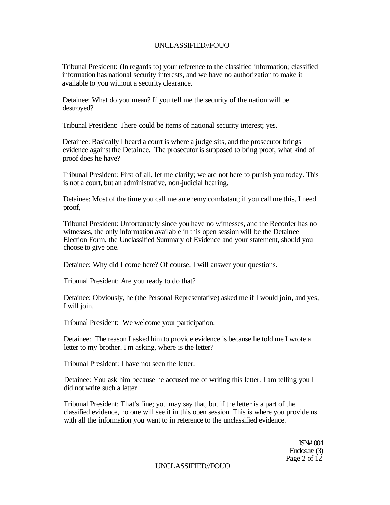Tribunal President: (In regards to) your reference to the classified information; classified information has national security interests, and we have no authorization to make it available to you without a security clearance.

Detainee: What do you mean? If you tell me the security of the nation will be destroyed?

Tribunal President: There could be items of national security interest; yes.

Detainee: Basically I heard a court is where a judge sits, and the prosecutor brings evidence against the Detainee. The prosecutor is supposed to bring proof; what kind of proof does he have?

Tribunal President: First of all, let me clarify; we are not here to punish you today. This is not a court, but an administrative, non-judicial hearing.

Detainee: Most of the time you call me an enemy combatant; if you call me this, I need proof,

Tribunal President: Unfortunately since you have no witnesses, and the Recorder has no witnesses, the only information available in this open session will be the Detainee Election Form, the Unclassified Summary of Evidence and your statement, should you choose to give one.

Detainee: Why did I come here? Of course, I will answer your questions.

Tribunal President: Are you ready to do that?

Detainee: Obviously, he (the Personal Representative) asked me if I would join, and yes, I will join.

Tribunal President: We welcome your participation.

Detainee: The reason I asked him to provide evidence is because he told me I wrote a letter to my brother. I'm asking, where is the letter?

Tribunal President: I have not seen the letter.

Detainee: You ask him because he accused me of writing this letter. I am telling you I did not write such a letter.

Tribunal President: That's fine; you may say that, but if the letter is a part of the classified evidence, no one will see it in this open session. This is where you provide us with all the information you want to in reference to the unclassified evidence.

> ISN# 004 Enclosure (3) Page 2 of 12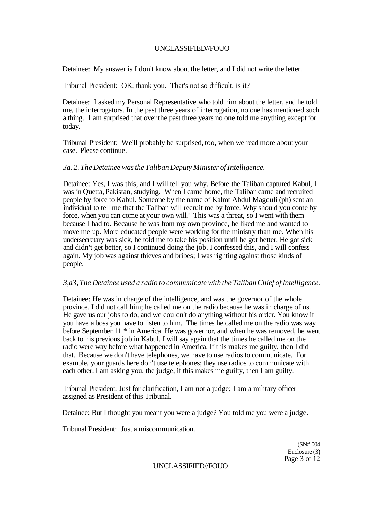Detainee: My answer is I don't know about the letter, and I did not write the letter.

Tribunal President: OK; thank you. That's not so difficult, is it?

Detainee: I asked my Personal Representative who told him about the letter, and he told me, the interrogators. In the past three years of interrogation, no one has mentioned such a thing. I am surprised that over the past three years no one told me anything except for today.

Tribunal President: We'll probably be surprised, too, when we read more about your case. Please continue.

#### *3a. 2. The Detainee was the Taliban Deputy Minister of Intelligence.*

Detainee: Yes, I was this, and I will tell you why. Before the Taliban captured Kabul, I was in Quetta, Pakistan, studying. When I came home, the Taliban came and recruited people by force to Kabul. Someone by the name of Kalmt Abdul Magduli (ph) sent an individual to tell me that the Taliban will recruit me by force. Why should you come by force, when you can come at your own will? This was a threat, so I went with them because I had to. Because he was from my own province, he liked me and wanted to move me up. More educated people were working for the ministry than me. When his undersecretary was sick, he told me to take his position until he got better. He got sick and didn't get better, so I continued doing the job. I confessed this, and I will confess again. My job was against thieves and bribes; I was righting against those kinds of people.

#### *3,a3, The Detainee used a radio to communicate with the Taliban Chief of Intelligence.*

Detainee: He was in charge of the intelligence, and was the governor of the whole province. I did not call him; he called me on the radio because he was in charge of us. He gave us our jobs to do, and we couldn't do anything without his order. You know if you have a boss you have to listen to him. The times he called me on the radio was way before September 11 \* in America. He was governor, and when he was removed, he went back to his previous job in Kabul. I will say again that the times he called me on the radio were way before what happened in America. If this makes me guilty, then I did that. Because we don't have telephones, we have to use radios to communicate. For example, your guards here don't use telephones; they use radios to communicate with each other. I am asking you, the judge, if this makes me guilty, then I am guilty.

Tribunal President: Just for clarification, I am not a judge; I am a military officer assigned as President of this Tribunal.

Detainee: But I thought you meant you were a judge? You told me you were a judge.

Tribunal President: Just a miscomrnunication.

(SN# 004 Enclosure (3) Page 3 of 12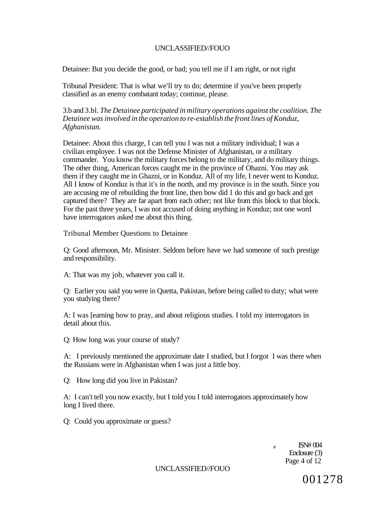Detainee: But you decide the good, or bad; you tell me if I am right, or not right

Tribunal President: That is what we'll try to do; determine if you've been properly classified as an enemy combatant today; continue, please.

3.b and 3.bl. *The Detainee participated in military operations against the coalition. The Detainee was involved in the operation to re-establish the front lines of Konduz, Afghanistan.* 

Detainee: About this charge, I can tell you I was not a military individual; I was a civilian employee. I was not the Defense Minister of Afghanistan, or a military commander. You know the military forces belong to the military, and do military things. The other thing, American forces caught me in the province of Ohazni. You may ask them if they caught me in Ghazni, or in Konduz. All of my life, I never went to Konduz. All I know of Konduz is that it's in the north, and my province is in the south. Since you are accusing me of rebuilding the front line, then bow did 1 do this and go back and get captured there? They are far apart from each other; not like from this block to that block. For the past three years, I was not accused of doing anything in Konduz; not one word have interrogators asked me about this thing.

Tribunal Member Questions to Detainee

Q: Good afternoon, Mr. Minister. Seldom before have we had someone of such prestige and responsibility.

A: That was my job, whatever you call it.

Q: Earlier you said you were in Quetta, Pakistan, before being called to duty; what were you studying there?

A: I was [earning how to pray, and about religious studies. I told my interrogators in detail about this.

Q: How long was your course of study?

A: I previously mentioned the approximate date I studied, but I forgot I was there when the Russians were in Afghanistan when I was just a little boy.

Q: How long did you live in Pakistan?

A: I can't tell you now exactly, but I told you I told interrogators approximately how long I lived there.

Q: Could you approximate or guess?

 $\mu$  ISN# 004 Enclosure (3) Page 4 of 12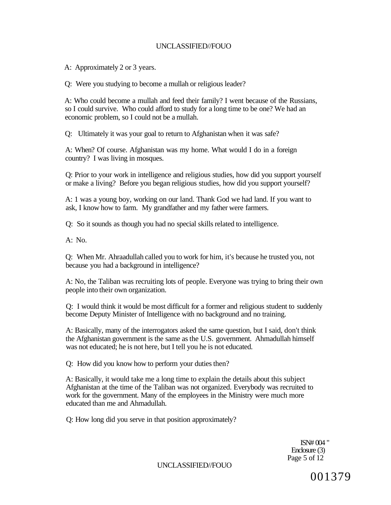A: Approximately 2 or 3 years.

Q: Were you studying to become a mullah or religious leader?

A: Who could become a mullah and feed their family? I went because of the Russians, so I could survive. Who could afford to study for a long time to be one? We had an economic problem, so I could not be a mullah.

Q: Ultimately it was your goal to return to Afghanistan when it was safe?

A: When? Of course. Afghanistan was my home. What would I do in a foreign country? I was living in mosques.

Q: Prior to your work in intelligence and religious studies, how did you support yourself or make a living? Before you began religious studies, how did you support yourself?

A: 1 was a young boy, working on our land. Thank God we had land. If you want to ask, I know how to farm. My grandfather and my father were farmers.

Q: So it sounds as though you had no special skills related to intelligence.

A: No.

Q: When Mr. Ahraadullah called you to work for him, it's because he trusted you, not because you had a background in intelligence?

A: No, the Taliban was recruiting lots of people. Everyone was trying to bring their own people into their own organization.

Q: I would think it would be most difficult for a former and religious student to suddenly become Deputy Minister of Intelligence with no background and no training.

A: Basically, many of the interrogators asked the same question, but I said, don't think the Afghanistan government is the same as the U.S. government. Ahmadullah himself was not educated; he is not here, but I tell you he is not educated.

Q: How did you know how to perform your duties then?

A: Basically, it would take me a long time to explain the details about this subject Afghanistan at the time of the Taliban was not organized. Everybody was recruited to work for the government. Many of the employees in the Ministry were much more educated than me and Ahmadullah.

Q: How long did you serve in that position approximately?

ISN# 004 " Enclosure (3) Page 5 of 12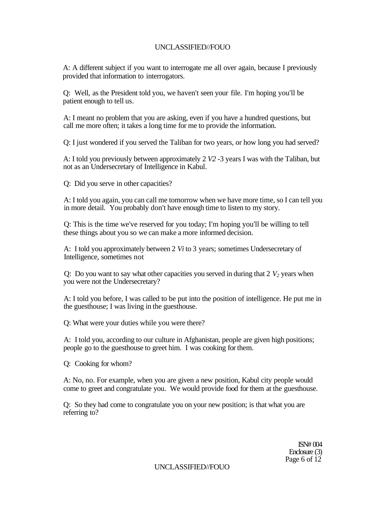A: A different subject if you want to interrogate me all over again, because I previously provided that information to interrogators.

Q: Well, as the President told you, we haven't seen your file. I'm hoping you'll be patient enough to tell us.

A: I meant no problem that you are asking, even if you have a hundred questions, but call me more often; it takes a long time for me to provide the information.

Q: I just wondered if you served the Taliban for two years, or how long you had served?

A: I told you previously between approximately 2 *V2* -3 years I was with the Taliban, but not as an Undersecretary of Intelligence in Kabul.

Q: Did you serve in other capacities?

A: I told you again, you can call me tomorrow when we have more time, so I can tell you in more detail. You probably don't have enough time to listen to my story.

Q: This is the time we've reserved for you today; I'm hoping you'll be willing to tell these things about you so we can make a more informed decision.

A: I told you approximately between 2 *Vi* to 3 years; sometimes Undersecretary of Intelligence, sometimes not

Q: Do you want to say what other capacities you served in during that  $2$   $V_2$  years when you were not the Undersecretary?

A: I told you before, I was called to be put into the position of intelligence. He put me in the guesthouse; I was living in the guesthouse.

Q: What were your duties while you were there?

A: I told you, according to our culture in Afghanistan, people are given high positions; people go to the guesthouse to greet him. I was cooking for them.

Q: Cooking for whom?

A: No, no. For example, when you are given a new position, Kabul city people would come to greet and congratulate you. We would provide food for them at the guesthouse.

Q: So they had come to congratulate you on your new position; is that what you are referring to?

> ISN# 004 Enclosure (3) Page 6 of 12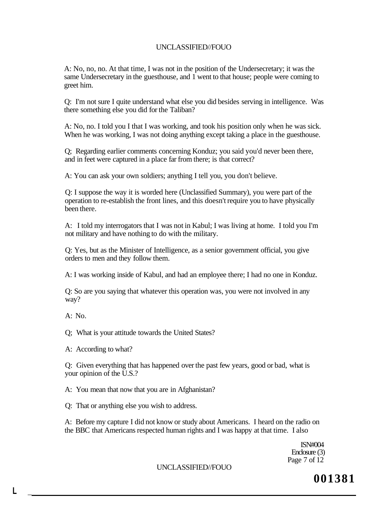A: No, no, no. At that time, I was not in the position of the Undersecretary; it was the same Undersecretary in the guesthouse, and 1 went to that house; people were coming to greet him.

Q: I'm not sure I quite understand what else you did besides serving in intelligence. Was there something else you did for the Taliban?

A: No, no. I told you I that I was working, and took his position only when he was sick. When he was working, I was not doing anything except taking a place in the guesthouse.

Q; Regarding earlier comments concerning Konduz; you said you'd never been there, and in feet were captured in a place far from there; is that correct?

A: You can ask your own soldiers; anything I tell you, you don't believe.

Q: I suppose the way it is worded here (Unclassified Summary), you were part of the operation to re-establish the front lines, and this doesn't require you to have physically been there.

A: I told my interrogators that I was not in Kabul; I was living at home. I told you I'm not military and have nothing to do with the military.

Q: Yes, but as the Minister of Intelligence, as a senior government official, you give orders to men and they follow them.

A: I was working inside of Kabul, and had an employee there; I had no one in Konduz.

Q: So are you saying that whatever this operation was, you were not involved in any way?

A: No.

**L \_** 

Q; What is your attitude towards the United States?

A: According to what?

Q: Given everything that has happened over the past few years, good or bad, what is your opinion of the U.S.?

A: You mean that now that you are in Afghanistan?

Q: That or anything else you wish to address.

A: Before my capture I did not know or study about Americans. I heard on the radio on the BBC that Americans respected human rights and I was happy at that time. I also

> ISN#004 Enclosure (3) Page 7 of 12

UNCLASSIFIED//FOUO

**001381**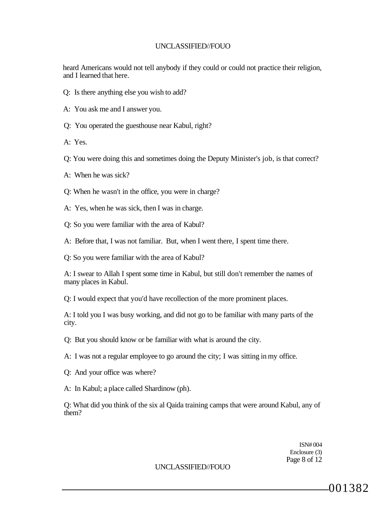heard Americans would not tell anybody if they could or could not practice their religion, and I learned that here.

- Q: Is there anything else you wish to add?
- A: You ask me and I answer you.
- Q: You operated the guesthouse near Kabul, right?
- A: Yes.
- Q: You were doing this and sometimes doing the Deputy Minister's job, is that correct?
- A: When he was sick?
- Q: When he wasn't in the office, you were in charge?
- A: Yes, when he was sick, then I was in charge.
- Q: So you were familiar with the area of Kabul?
- A: Before that, I was not familiar. But, when I went there, I spent time there.

Q: So you were familiar with the area of Kabul?

A: I swear to Allah I spent some time in Kabul, but still don't remember the names of many places in Kabul.

Q: I would expect that you'd have recollection of the more prominent places.

A: I told you I was busy working, and did not go to be familiar with many parts of the city.

- Q: But you should know or be familiar with what is around the city.
- A: I was not a regular employee to go around the city; I was sitting in my office.
- Q: And your office was where?
- A: In Kabul; a place called Shardinow (ph).

Q: What did you think of the six al Qaida training camps that were around Kabul, any of them?

> ISN# 004 Enclosure (3) Page 8 of 12

#### UNCLASSIFIED//FOUO

001382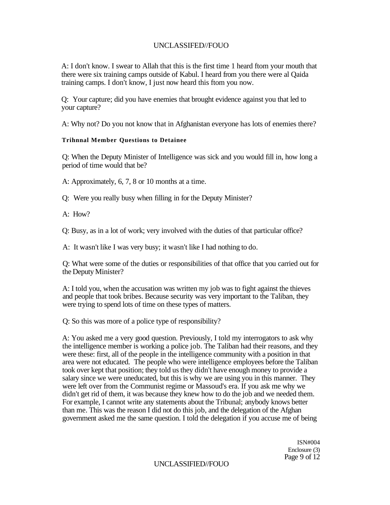A: I don't know. I swear to Allah that this is the first time 1 heard ftom your mouth that there were six training camps outside of Kabul. I heard from you there were al Qaida training camps. I don't know, I just now heard this ftom you now.

Q: Your capture; did you have enemies that brought evidence against you that led to your capture?

A: Why not? Do you not know that in Afghanistan everyone has lots of enemies there?

#### **Trihnnal Member Questions to Detainee**

Q: When the Deputy Minister of Intelligence was sick and you would fill in, how long a period of time would that be?

A: Approximately, 6, 7, 8 or 10 months at a time.

Q: Were you really busy when filling in for the Deputy Minister?

A: How?

Q: Busy, as in a lot of work; very involved with the duties of that particular office?

A: It wasn't like I was very busy; it wasn't like I had nothing to do.

Q: What were some of the duties or responsibilities of that office that you carried out for the Deputy Minister?

A: I told you, when the accusation was written my job was to fight against the thieves and people that took bribes. Because security was very important to the Taliban, they were trying to spend lots of time on these types of matters.

Q: So this was more of a police type of responsibility?

A: You asked me a very good question. Previously, I told my interrogators to ask why the intelligence member is working a police job. The Taliban had their reasons, and they were these: first, all of the people in the intelligence community with a position in that area were not educated. The people who were intelligence employees before the Taliban took over kept that position; they told us they didn't have enough money to provide a salary since we were uneducated, but this is why we are using you in this manner. They were left over from the Communist regime or Massoud's era. If you ask me why we didn't get rid of them, it was because they knew how to do the job and we needed them. For example, I cannot write any statements about the Tribunal; anybody knows better than me. This was the reason I did not do this job, and the delegation of the Afghan government asked me the same question. I told the delegation if you accuse me of being

> ISN#004 Enclosure (3) Page 9 of 12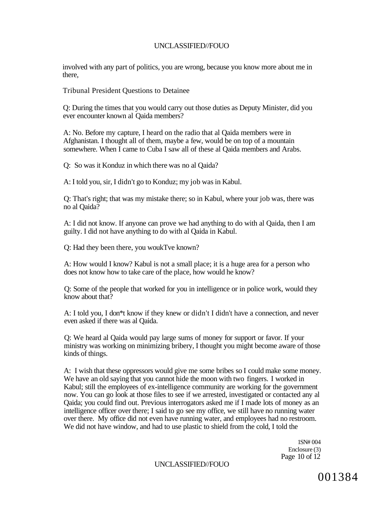involved with any part of politics, you are wrong, because you know more about me in there,

Tribunal President Questions to Detainee

Q: During the times that you would carry out those duties as Deputy Minister, did you ever encounter known al Qaida members?

A: No. Before my capture, I heard on the radio that al Qaida members were in Afghanistan. I thought all of them, maybe a few, would be on top of a mountain somewhere. When I came to Cuba I saw all of these al Qaida members and Arabs.

Q: So was it Konduz in which there was no al Qaida?

A: I told you, sir, I didn't go to Konduz; my job was in Kabul.

Q: That's right; that was my mistake there; so in Kabul, where your job was, there was no al Qaida?

A: I did not know. If anyone can prove we had anything to do with al Qaida, then I am guilty. I did not have anything to do with al Qaida in Kabul.

Q: Had they been there, you woukTve known?

A: How would I know? Kabul is not a small place; it is a huge area for a person who does not know how to take care of the place, how would he know?

Q: Some of the people that worked for you in intelligence or in police work, would they know about that?

A: I told you, I don\*t know if they knew or didn't I didn't have a connection, and never even asked if there was al Qaida.

Q: We heard al Qaida would pay large sums of money for support or favor. If your ministry was working on minimizing bribery, I thought you might become aware of those kinds of things.

A: I wish that these oppressors would give me some bribes so I could make some money. We have an old saying that you cannot hide the moon with two fingers. I worked in Kabul; still the employees of ex-intelligence community are working for the government now. You can go look at those files to see if we arrested, investigated or contacted any al Qaida; you could find out. Previous interrogators asked me if I made lots of money as an intelligence officer over there; I said to go see my office, we still have no running water over there. My office did not even have running water, and employees had no restroom. We did not have window, and had to use plastic to shield from the cold, I told the

> 1SN# 004 Enclosure (3) Page 10 of 12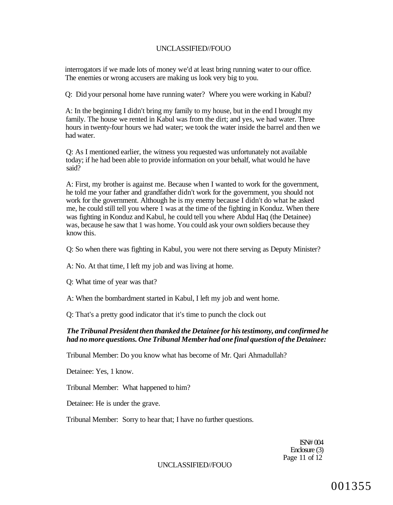interrogators if we made lots of money we'd at least bring running water to our office. The enemies or wrong accusers are making us look very big to you.

Q: Did your personal home have running water? Where you were working in Kabul?

A: In the beginning I didn't bring my family to my house, but in the end I brought my family. The house we rented in Kabul was from the dirt; and yes, we had water. Three hours in twenty-four hours we had water; we took the water inside the barrel and then we had water.

Q: As I mentioned earlier, the witness you requested was unfortunately not available today; if he had been able to provide information on your behalf, what would he have said?

A: First, my brother is against me. Because when I wanted to work for the government, he told me your father and grandfather didn't work for the government, you should not work for the government. Although he is my enemy because I didn't do what he asked me, he could still tell you where 1 was at the time of the fighting in Konduz. When there was fighting in Konduz and Kabul, he could tell you where Abdul Haq (the Detainee) was, because he saw that 1 was home. You could ask your own soldiers because they know this.

Q: So when there was fighting in Kabul, you were not there serving as Deputy Minister?

A: No. At that time, I left my job and was living at home.

Q: What time of year was that?

A: When the bombardment started in Kabul, I left my job and went home.

Q: That's a pretty good indicator that it's time to punch the clock out

### *The Tribunal President then thanked the Detainee for his testimony, and confirmed he had no more questions. One Tribunal Member had one final question of the Detainee:*

Tribunal Member: Do you know what has become of Mr. Qari Ahmadullah?

Detainee: Yes, 1 know.

Tribunal Member: What happened to him?

Detainee: He is under the grave.

Tribunal Member: Sorry to hear that; I have no further questions.

ISN# 004 Enclosure (3) Page 11 of 12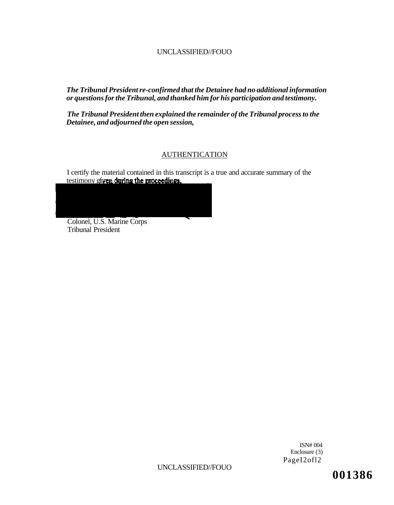*The Tribunal President re-confirmed that the Detainee had no additional information or questions for the Tribunal, and thanked him for his participation and testimony.* 

*The Tribunal President then explained the remainder of the Tribunal process to the Detainee, and adjourned the open session,* 

## AUTHENTICATION

I certify the material contained in this transcript is a true and accurate summary of the testimony gfiven during the proceedings.



Colonel, U.S. Marine Corps Tribunal President

> ISN# 004 Enclosure (3) PageI2ofl2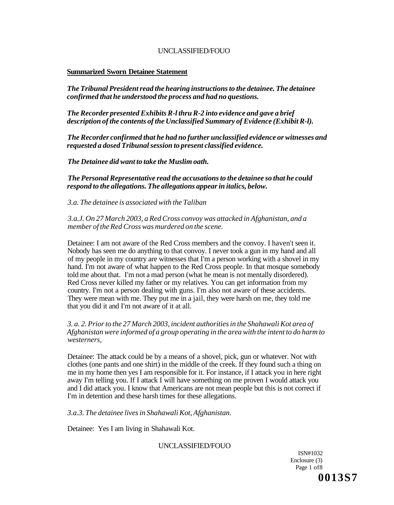#### **Summarized Sworn Detainee Statement**

*The Tribunal President read the hearing instructions to the detainee. The detainee confirmed that he understood the process and had no questions.* 

*The Recorder presented Exhibits R-l thru R-2 into evidence and gave a brief description of the contents of the Unclassified Summary of Evidence (Exhibit R-l).* 

*The Recorder confirmed that he had no further unclassified evidence or witnesses and requested a dosed Tribunal session to present classified evidence.* 

*The Detainee did want to take the Muslim oath.* 

*The Personal Representative read the accusations to the detainee so that he could respond to the allegations. The allegations appear in italics, below.* 

*3.a. The detainee is associated with the Taliban* 

*3.a.J. On 27 March 2003, a Red Cross convoy was attacked in Afghanistan, and a member of the Red Cross was murdered on the scene.* 

Detainee: I am not aware of the Red Cross members and the convoy. I haven't seen it. Nobody has seen me do anything to that convoy. I never took a gun in my hand and all of my people in my country are witnesses that I'm a person working with a shovel in my hand. I'm not aware of what happen to the Red Cross people. In that mosque somebody told me about that. I'm not a mad person (what he mean is not mentally disordered). Red Cross never killed my father or my relatives. You can get information from my country. I'm not a person dealing with guns. I'm also not aware of these accidents. They were mean with me. They put me in a jail, they were harsh on me, they told me that you did it and I'm not aware of it at all.

#### *3. a. 2. Prior to the 27 March 2003, incident authorities in the Shahawali Kot area of Afghanistan were informed of a group operating in the area with the intent to do harm to westerners,*

Detainee: The attack could be by a means of a shovel, pick, gun or whatever. Not with clothes (one pants and one shirt) in the middle of the creek. If they found such a thing on me in my home then yes I am responsible for it. For instance, if I attack you in here right away I'm telling you. If I attack I will have something on me proven I would attack you and I did attack you. I know that Americans are not mean people but this is not correct if I'm in detention and these harsh times for these allegations.

*3.a.3. The detainee lives in Shahawali Kot, Afghanistan.* 

Detainee: Yes I am living in Shahawali Kot.

#### UNCLASSIFIED/FOUO

ISN#1032 Enclosure (3) Page 1 of8 **0013S7**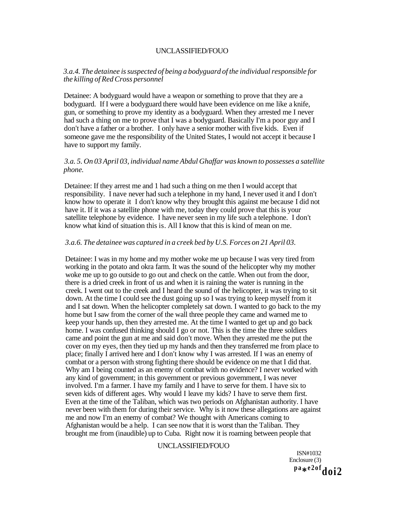## *3.a.4. The detainee is suspected of being a bodyguard of the individual responsible for the killing of Red Cross personnel*

Detainee: A bodyguard would have a weapon or something to prove that they are a bodyguard. If I were a bodyguard there would have been evidence on me like a knife, gun, or something to prove my identity as a bodyguard. When they arrested me I never had such a thing on me to prove that I was a bodyguard. Basically I'm a poor guy and I don't have a father or a brother. I only have a senior mother with five kids. Even if someone gave me the responsibility of the United States, I would not accept it because I have to support my family.

#### *3.a. 5. On 03 April 03, individual name Abdul Ghaffar was known to possesses a satellite phone.*

Detainee: If they arrest me and 1 had such a thing on me then I would accept that responsibility. I nave never had such a telephone in my hand, I never used it and I don't know how to operate it I don't know why they brought this against me because I did not have it. If it was a satellite phone with me, today they could prove that this is your satellite telephone by evidence. I have never seen in my life such a telephone. I don't know what kind of situation this is. All I know that this is kind of mean on me.

#### *3.a.6. The detainee was captured in a creek bed by U.S. Forces on 21 April 03.*

Detainee: I was in my home and my mother woke me up because I was very tired from working in the potato and okra farm. It was the sound of the helicopter why my mother woke me up to go outside to go out and check on the cattle. When out from the door, there is a dried creek in front of us and when it is raining the water is running in the creek. I went out to the creek and I heard the sound of the helicopter, it was trying to sit down. At the time I could see the dust going up so I was trying to keep myself from it and I sat down. When the helicopter completely sat down. I wanted to go back to the my home but I saw from the corner of the wall three people they came and warned me to keep your hands up, then they arrested me. At the time I wanted to get up and go back home. I was confused thinking should I go or not. This is the time the three soldiers came and point the gun at me and said don't move. When they arrested me the put the cover on my eyes, then they tied up my hands and then they transferred me from place to place; finally I arrived here and I don't know why I was arrested. If I was an enemy of combat or a person with strong fighting there should be evidence on me that I did that. Why am I being counted as an enemy of combat with no evidence? I never worked with any kind of government; in this government or previous government, I was never involved. I'm a farmer. I have my family and I have to serve for them. I have six to seven kids of different ages. Why would I leave my kids? I have to serve them first. Even at the time of the Taliban, which was two periods on Afghanistan authority. I have never been with them for during their service. Why is it now these allegations are against me and now I'm an enemy of combat? We thought with Americans coming to Afghanistan would be a help. I can see now that it is worst than the Taliban. They brought me from (inaudible) up to Cuba. Right now it is roaming between people that

#### UNCLASSIFIED/FOUO

ISN#1032 Enclosure (3) **p a \* e2ofdoi2**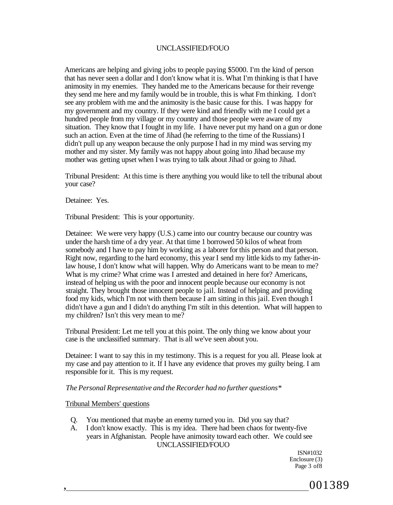Americans are helping and giving jobs to people paying \$5000. I'm the kind of person that has never seen a dollar and I don't know what it is. What I'm thinking is that I have animosity in my enemies. They handed me to the Americans because for their revenge they send me here and my family would be in trouble, this is what Fm thinking. I don't see any problem with me and the animosity is the basic cause for this. I was happy for my government and my country. If they were kind and friendly with me I could get a hundred people from my village or my country and those people were aware of my situation. They know that I fought in my life. I have never put my hand on a gun or done such an action. Even at the time of Jihad (he referring to the time of the Russians) I didn't pull up any weapon because the only purpose I had in my mind was serving my mother and my sister. My family was not happy about going into Jihad because my mother was getting upset when I was trying to talk about Jihad or going to Jihad.

Tribunal President: At this time is there anything you would like to tell the tribunal about your case?

Detainee: Yes.

Tribunal President: This is your opportunity.

Detainee: We were very happy (U.S.) came into our country because our country was under the harsh time of a dry year. At that time 1 borrowed 50 kilos of wheat from somebody and I have to pay him by working as a laborer for this person and that person. Right now, regarding to the hard economy, this year I send my little kids to my father-inlaw house, I don't know what will happen. Why do Americans want to be mean to me? What is my crime? What crime was I arrested and detained in here for? Americans, instead of helping us with the poor and innocent people because our economy is not straight. They brought those innocent people to jail. Instead of helping and providing food my kids, which I'm not with them because I am sitting in this jail. Even though I didn't have a gun and I didn't do anything I'm stilt in this detention. What will happen to my children? Isn't this very mean to me?

Tribunal President: Let me tell you at this point. The only thing we know about your case is the unclassified summary. That is all we've seen about you.

Detainee: I want to say this in my testimony. This is a request for you all. Please look at my case and pay attention to it. If I have any evidence that proves my guilty being. I am responsible for it. This is my request.

#### *The Personal Representative and the Recorder had no further questions\**

#### Tribunal Members' questions

- Q. You mentioned that maybe an enemy turned you in. Did you say that?
- A. I don't know exactly. This is my idea. There had been chaos for twenty-five years in Afghanistan. People have animosity toward each other. We could see UNCLASSIFIED/FOUO

ISN#1032 Enclosure (3) Page 3 of 8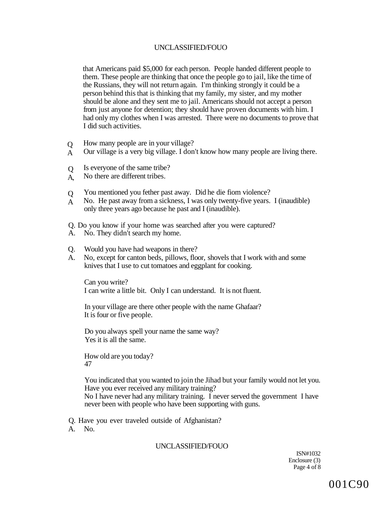that Americans paid \$5,000 for each person. People handed different people to them. These people are thinking that once the people go to jail, like the time of the Russians, they will not return again. I'm thinking strongly it could be a person behind this that is thinking that my family, my sister, and my mother should be alone and they sent me to jail. Americans should not accept a person from just anyone for detention; they should have proven documents with him. I had only my clothes when I was arrested. There were no documents to prove that I did such activities.

- $\overline{O}$ How many people are in your village?
- A Our village is a very big village. I don't know how many people are living there.
- $\overline{O}$ Is everyone of the same tribe?
- A, No there are different tribes.
- $\overline{O}$ You mentioned you fether past away. Did he die fiom violence?
- A No. He past away from a sickness, I was only twenty-five years. I (inaudible) only three years ago because he past and I (inaudible).
- Q. Do you know if your home was searched after you were captured?
- A. No. They didn't search my home.
- Q. Would you have had weapons in there?
- A. No, except for canton beds, pillows, floor, shovels that I work with and some knives that I use to cut tomatoes and eggplant for cooking.

Can you write? I can write a little bit. Only I can understand. It is not fluent.

In your village are there other people with the name Ghafaar? It is four or five people.

Do you always spell your name the same way? Yes it is all the same.

How old are you today? 47

You indicated that you wanted to join the Jihad but your family would not let you. Have you ever received any military training?

No I have never had any military training. I never served the government I have never been with people who have been supporting with guns.

Q. Have you ever traveled outside of Afghanistan?

A. No.

#### UNCLASSIFIED/FOUO

ISN#1032 Enclosure (3) Page 4 of 8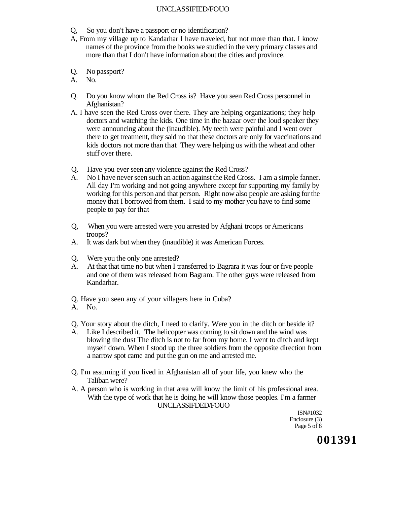- Q, So you don't have a passport or no identification?
- A, From my village up to Kandarhar I have traveled, but not more than that. I know names of the province from the books we studied in the very primary classes and more than that I don't have information about the cities and province.
- Q. No passport?
- A. No.
- Q. Do you know whom the Red Cross is? Have you seen Red Cross personnel in Afghanistan?
- A. I have seen the Red Cross over there. They are helping organizations; they help doctors and watching the kids. One time in the bazaar over the loud speaker they were announcing about the (inaudible). My teeth were painful and I went over there to get treatment, they said no that these doctors are only for vaccinations and kids doctors not more than that They were helping us with the wheat and other stuff over there.
- Q. Have you ever seen any violence against the Red Cross?
- A. No I have never seen such an action against the Red Cross. I am a simple fanner. All day I'm working and not going anywhere except for supporting my family by working for this person and that person. Right now also people are asking for the money that I borrowed from them. I said to my mother you have to find some people to pay for that
- Q, When you were arrested were you arrested by Afghani troops or Americans troops?
- A. It was dark but when they (inaudible) it was American Forces.
- Q. Were you the only one arrested?
- A. At that that time no but when I transferred to Bagrara it was four or five people and one of them was released from Bagram. The other guys were released from Kandarhar.
- Q. Have you seen any of your villagers here in Cuba?
- A. No.
- Q. Your story about the ditch, I need to clarify. Were you in the ditch or beside it?
- A. Like I described it. The helicopter was coming to sit down and the wind was blowing the dust The ditch is not to far from my home. I went to ditch and kept myself down. When I stood up the three soldiers from the opposite direction from a narrow spot came and put the gun on me and arrested me.
- Q. I'm assuming if you lived in Afghanistan all of your life, you knew who the Taliban were?
- A. A person who is working in that area will know the limit of his professional area. With the type of work that he is doing he will know those peoples. I'm a farmer UNCLASSIFDED/FOUO

ISN#1032 Enclosure (3) Page 5 of 8

**001391**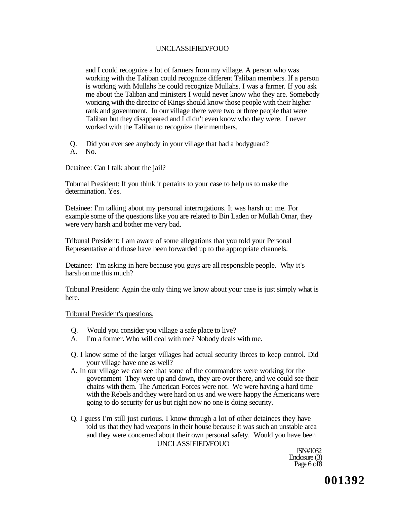and I could recognize a lot of farmers from my village. A person who was working with the Taliban could recognize different Taliban members. If a person is working with Mullahs he could recognize Mullahs. I was a farmer. If you ask me about the Taliban and ministers I would never know who they are. Somebody woricing with the director of Kings should know those people with their higher rank and government. In our village there were two or three people that were Taliban but they disappeared and I didn't even know who they were. I never worked with the Taliban to recognize their members.

Q. Did you ever see anybody in your village that had a bodyguard? A. No.

Detainee: Can I talk about the jail?

Tnbunal President: If you think it pertains to your case to help us to make the determination. Yes.

Detainee: I'm talking about my personal interrogations. It was harsh on me. For example some of the questions like you are related to Bin Laden or Mullah Omar, they were very harsh and bother me very bad.

Tribunal President: I am aware of some allegations that you told your Personal Representative and those have been forwarded up to the appropriate channels.

Detainee: I'm asking in here because you guys are all responsible people. Why it's harsh on me this much?

Tribunal President: Again the only thing we know about your case is just simply what is here.

#### Tribunal President's questions.

- Q. Would you consider you village a safe place to live?
- A. I'm a former. Who will deal with me? Nobody deals with me.
- Q. I know some of the larger villages had actual security ibrces to keep control. Did your village have one as well?
- A. In our village we can see that some of the commanders were working for the government They were up and down, they are over there, and we could see their chains with them. The American Forces were not. We were having a hard time with the Rebels and they were hard on us and we were happy the Americans were going to do security for us but right now no one is doing security.
- Q. I guess I'm still just curious. I know through a lot of other detainees they have told us that they had weapons in their house because it was such an unstable area and they were concerned about their own personal safety. Would you have been UNCLASSIFIED/FOUO

ISN#1032 Enclosure (3) Page 6 of 8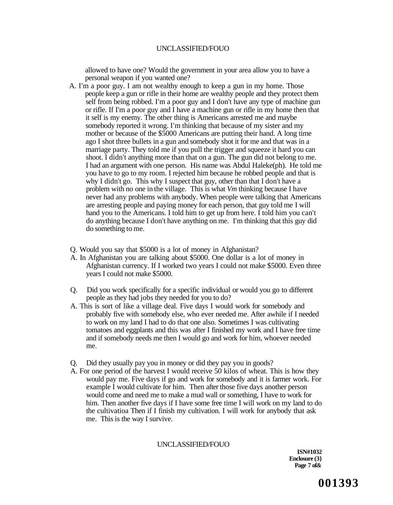allowed to have one? Would the government in your area allow you to have a personal weapon if you wanted one?

- A. I'm a poor guy. I am not wealthy enough to keep a gun in my home. Those people keep a gun or rifle in their home are wealthy people and they protect them self from being robbed. I'm a poor guy and I don't have any type of machine gun or rifle. If I'm a poor guy and I have a machine gun or rifle in my home then that it self is my enemy. The other thing is Americans arrested me and maybe somebody reported it wrong. I'm thinking that because of my sister and my mother or because of the \$5000 Americans are putting their hand. A long time ago I shot three bullets in a gun and somebody shot it for me and that was in a marriage party. They told me if you pull the trigger and squeeze it hard you can shoot. I didn't anything more than that on a gun. The gun did not belong to me. I had an argument with one person. His name was Abdul Haleke(ph). He told me you have to go to my room. I rejected him because he robbed people and that is why I didn't go. This why I suspect that guy, other than that I don't have a problem with no one in the village. This is what *Vm* thinking because I have never had any problems with anybody. When people were talking that Americans are arresting people and paying money for each person, that guy told me I will hand you to the Americans. I told him to get up from here. I told him you can't do anything because I don't have anything on me. I'm thinking that this guy did do something to me.
- Q. Would you say that \$5000 is a lot of money in Afghanistan?
- A. In Afghanistan you are talking about \$5000. One dollar is a lot of money in Afghanistan currency. If I worked two years I could not make \$5000. Even three years I could not make \$5000.
- Q. Did you work specifically for a specific individual or would you go to different people as they had jobs they needed for you to do?
- A. This is sort of like a village deal. Five days I would work for somebody and probably five with somebody else, who ever needed me. After awhile if I needed to work on my land I had to do that one also. Sometimes I was cultivating tomatoes and eggplants and this was after I finished my work and I have free time and if somebody needs me then I would go and work for him, whoever needed me.
- Q. Did they usually pay you in money or did they pay you in goods?
- A. For one period of the harvest I would receive 50 kilos of wheat. This is how they would pay me. Five days if go and work for somebody and it is farmer work. For example I would cultivate for him. Then after those five days another person would come and need me to make a mud wall or something, I have to work for him. Then another five days if I have some free time I will work on my land to do the cultivatioa Then if I finish my cultivation. I will work for anybody that ask me. This is the way I survive.

#### UNCLASSIFIED/FOUO

**ISN#1032 Enclosure (3} Page 7 of***&*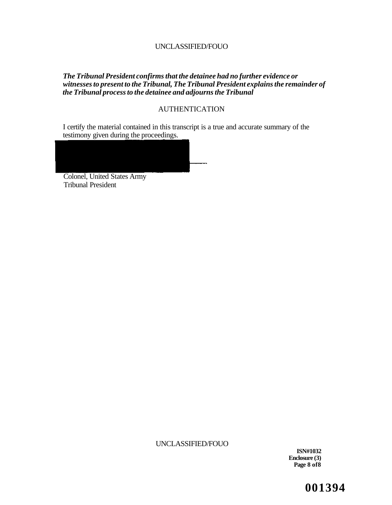#### *The Tribunal President confirms that the detainee had no further evidence or witnesses to present to the Tribunal, The Tribunal President explains the remainder of the Tribunal process to the detainee and adjourns the Tribunal*

## AUTHENTICATION

I certify the material contained in this transcript is a true and accurate summary of the testimony given during the proceedings.



Colonel, United States Army Tribunal President

UNCLASSIFIED/FOUO

**ISN#1032 Enclosure (3) Page 8 of8** 

**001394**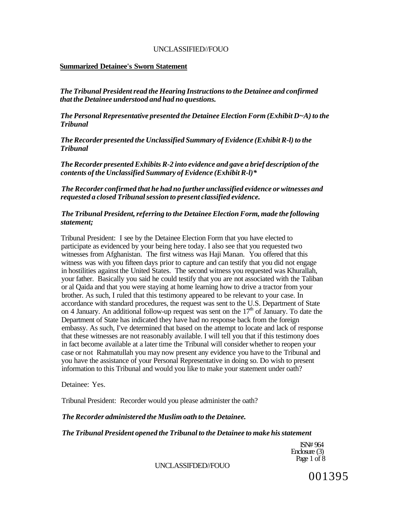#### **Summarized Detainee's Sworn Statement**

*The Tribunal President read the Hearing Instructions to the Detainee and confirmed that the Detainee understood and had no questions.* 

*The Personal Representative presented the Detainee Election Form (Exhibit D~A) to the Tribunal* 

*The Recorder presented the Unclassified Summary of Evidence (Exhibit R-l) to the Tribunal* 

*The Recorder presented Exhibits R-2 into evidence and gave a brief description of the contents of the Unclassified Summary of Evidence (Exhibit R-l)\** 

*The Recorder confirmed that he had no further unclassified evidence or witnesses and requested a closed Tribunal session to present classified evidence.* 

### *The Tribunal President, referring to the Detainee Election Form, made the following statement;*

Tribunal President: I see by the Detainee Election Form that you have elected to participate as evidenced by your being here today. I also see that you requested two witnesses from Afghanistan. The first witness was Haji Manan. You offered that this witness was with you fifteen days prior to capture and can testify that you did not engage in hostilities against the United States. The second witness you requested was Khurallah, your father. Basically you said he could testify that you are not associated with the Taliban or al Qaida and that you were staying at home learning how to drive a tractor from your brother. As such, I ruled that this testimony appeared to be relevant to your case. In accordance with standard procedures, the request was sent to the U.S. Department of State on 4 January. An additional follow-up request was sent on the  $17<sup>th</sup>$  of January. To date the Department of State has indicated they have had no response back from the foreign embassy. As such, I've determined that based on the attempt to locate and lack of response that these witnesses are not reasonably available. I will tell you that if this testimony does in fact become available at a later time the Tribunal will consider whether to reopen your case or not Rahmatullah you may now present any evidence you have to the Tribunal and you have the assistance of your Personal Representative in doing so. Do wish to present information to this Tribunal and would you like to make your statement under oath?

Detainee: Yes.

Tribunal President: Recorder would you please administer the oath?

#### *The Recorder administered the Muslim oath to the Detainee.*

#### *The Tribunal President opened the Tribunal to the Detainee to make his statement*

ISN# 964 Enclosure (3) Page 1 of 8

UNCLASSIFDED//FOUO

001395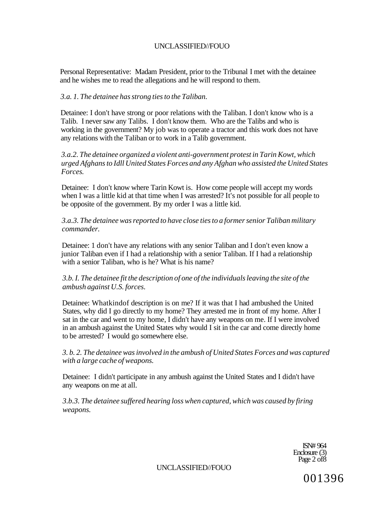Personal Representative: Madam President, prior to the Tribunal I met with the detainee and he wishes me to read the allegations and he will respond to them.

## *3.a. 1. The detainee has strong ties to the Taliban.*

Detainee: I don't have strong or poor relations with the Taliban. I don't know who is a Talib. I never saw any Talibs. I don't know them. Who are the Talibs and who is working in the government? My job was to operate a tractor and this work does not have any relations with the Taliban or to work in a Talib government.

*3.a.2. The detainee organized a violent anti-government protest in Tarin Kowt, which urged Afghans to Idll United States Forces and any Afghan who assisted the United States Forces.* 

Detainee: I don't know where Tarin Kowt is. How come people will accept my words when I was a little kid at that time when I was arrested? It's not possible for all people to be opposite of the government. By my order I was a little kid.

*3.a.3. The detainee was reported to have close ties to a former senior Taliban military commander.* 

Detainee: 1 don't have any relations with any senior Taliban and I don't even know a junior Taliban even if I had a relationship with a senior Taliban. If I had a relationship with a senior Taliban, who is he? What is his name?

## *3.b. I. The detainee fit the description of one of the individuals leaving the site of the ambush against U.S. forces.*

Detainee: Whatkindof description is on me? If it was that I had ambushed the United States, why did I go directly to my home? They arrested me in front of my home. After I sat in the car and went to my home, I didn't have any weapons on me. If I were involved in an ambush against the United States why would I sit in the car and come directly home to be arrested? I would go somewhere else.

*3. b. 2. The detainee was involved in the ambush of United States Forces and was captured with a large cache of weapons.* 

Detainee: I didn't participate in any ambush against the United States and I didn't have any weapons on me at all.

*3.b.3. The detainee suffered hearing loss when captured, which was caused by firing weapons.* 

> ISN# 964 Enclosure (3) Page 2 of 8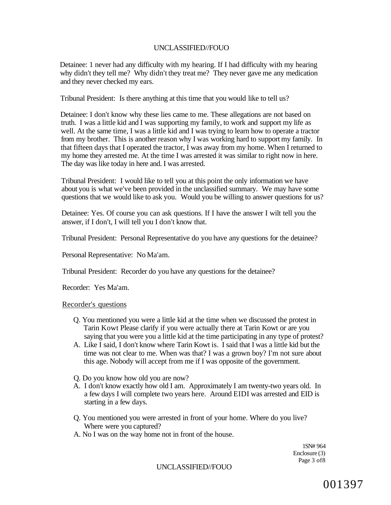Detainee: 1 never had any difficulty with my hearing. If I had difficulty with my hearing why didn't they tell me? Why didn't they treat me? They never gave me any medication and they never checked my ears.

Tribunal President: Is there anything at this time that you would like to tell us?

Detainee: I don't know why these lies came to me. These allegations are not based on truth. I was a little kid and I was supporting my family, to work and support my life as well. At the same time, I was a little kid and I was trying to learn how to operate a tractor from my brother. This is another reason why I was working hard to support my family. In that fifteen days that I operated the tractor, I was away from my home. When I returned to my home they arrested me. At the time I was arrested it was similar to right now in here. The day was like today in here and. I was arrested.

Tribunal President: I would like to tell you at this point the only information we have about you is what we've been provided in the unclassified summary. We may have some questions that we would like to ask you. Would you be willing to answer questions for us?

Detainee: Yes. Of course you can ask questions. If I have the answer I wilt tell you the answer, if I don't, I will tell you I don't know that.

Tribunal President: Personal Representative do you have any questions for the detainee?

Personal Representative: No Ma'am.

Tribunal President: Recorder do you have any questions for the detainee?

Recorder: Yes Ma'am.

#### Recorder's questions

- Q. You mentioned you were a little kid at the time when we discussed the protest in Tarin Kowt Please clarify if you were actually there at Tarin Kowt or are you saying that you were you a little kid at the time participating in any type of protest?
- A. Like I said, I don't know where Tarin Kowt is. I said that I was a little kid but the time was not clear to me. When was that? I was a grown boy? I'm not sure about this age. Nobody will accept from me if I was opposite of the government.

Q. Do you know how old you are now?

- A. I don't know exactly how old I am. Approximately I am twenty-two years old. In a few days I will complete two years here. Around EIDI was arrested and EID is starting in a few days.
- Q. You mentioned you were arrested in front of your home. Where do you live? Where were you captured?
- A. No I was on the way home not in front of the house.

1SN# 964 Enclosure (3) Page 3 of8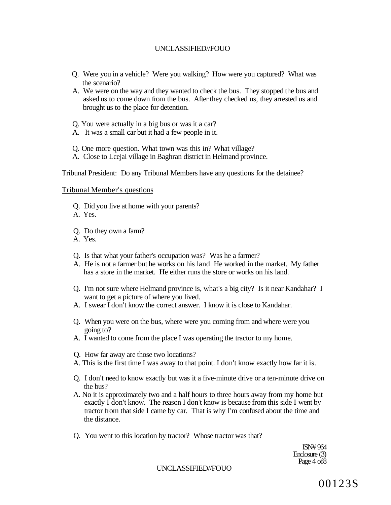- Q. Were you in a vehicle? Were you walking? How were you captured? What was the scenario?
- A. We were on the way and they wanted to check the bus. They stopped the bus and asked us to come down from the bus. After they checked us, they arrested us and brought us to the place for detention.
- Q. You were actually in a big bus or was it a car?
- A. It was a small car but it had a few people in it.
- Q. One more question. What town was this in? What village?
- A. Close to Lcejai village in Baghran district in Helmand province.

Tribunal President: Do any Tribunal Members have any questions for the detainee?

#### Tribunal Member's questions

- Q. Did you live at home with your parents?
- A. Yes.
- Q. Do they own a farm?
- A. Yes.
- Q. Is that what your father's occupation was? Was he a farmer?
- A. He is not a farmer but he works on his land He worked in the market. My father has a store in the market. He either runs the store or works on his land.
- Q. I'm not sure where Helmand province is, what's a big city? Is it near Kandahar? I want to get a picture of where you lived.
- A. I swear I don't know the correct answer. I know it is close to Kandahar.
- Q. When you were on the bus, where were you coming from and where were you going to?
- A. I wanted to come from the place I was operating the tractor to my home.
- Q. How far away are those two locations?
- A. This is the first time I was away to that point. I don't know exactly how far it is.
- Q. I don't need to know exactly but was it a five-minute drive or a ten-minute drive on the bus?
- A. No it is approximately two and a half hours to three hours away from my home but exactly I don't know. The reason I don't know is because from this side I went by tractor from that side I came by car. That is why I'm confused about the time and the distance.
- Q. You went to this location by tractor? Whose tractor was that?

ISN# 964 Enclosure (3) Page 4 of8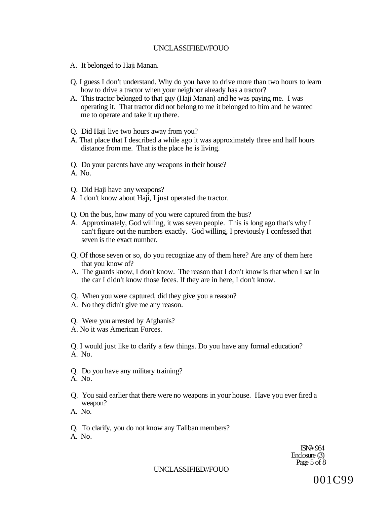- A. It belonged to Haji Manan.
- Q. I guess I don't understand. Why do you have to drive more than two hours to learn how to drive a tractor when your neighbor already has a tractor?
- A. This tractor belonged to that guy (Haji Manan) and he was paying me. I was operating it. That tractor did not belong to me it belonged to him and he wanted me to operate and take it up there.
- Q. Did Haji live two hours away from you?
- A. That place that I described a while ago it was approximately three and half hours distance from me. That is the place he is living.
- Q. Do your parents have any weapons in their house?
- A. No.
- Q. Did Haji have any weapons?
- A. I don't know about Haji, I just operated the tractor.
- Q. On the bus, how many of you were captured from the bus?
- A. Approximately, God willing, it was seven people. This is long ago that's why I can't figure out the numbers exactly. God willing, I previously I confessed that seven is the exact number.
- Q. Of those seven or so, do you recognize any of them here? Are any of them here that you know of?
- A. The guards know, I don't know. The reason that I don't know is that when I sat in the car I didn't know those feces. If they are in here, I don't know.
- Q. When you were captured, did they give you a reason?
- A. No they didn't give me any reason.
- Q. Were you arrested by Afghanis?
- A. No it was American Forces.

Q. I would just like to clarify a few things. Do you have any formal education? A. No.

- Q. Do you have any military training?
- A. No.
- Q. You said earlier that there were no weapons in your house. Have you ever fired a weapon?
- A. No.
- Q. To clarify, you do not know any Taliban members? A. No.

ISN# 964 Enclosure (3) Page 5 of 8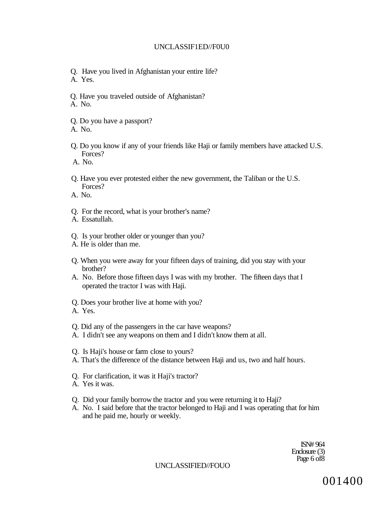#### UNCLASSIF1ED//F0U0

- Q. Have you lived in Afghanistan your entire life? A. Yes.
- Q. Have you traveled outside of Afghanistan?
- A. No.
- Q. Do you have a passport?
- A. No.
- Q. Do you know if any of your friends like Haji or family members have attacked U.S. Forces?
- A. No.
- Q. Have you ever protested either the new government, the Taliban or the U.S. Forces?
- A. No.
- Q. For the record, what is your brother's name?
- A. Essatullah.
- Q. Is your brother older or younger than you?
- A. He is older than me.
- Q. When you were away for your fifteen days of training, did you stay with your brother?
- A. No. Before those fifteen days I was with my brother. The fifteen days that I operated the tractor I was with Haji.
- Q. Does your brother live at home with you?
- A. Yes.
- Q. Did any of the passengers in the car have weapons?
- A. I didn't see any weapons on them and I didn't know them at all.
- Q. Is Haji's house or farm close to yours?
- A. That's the difference of the distance between Haji and us, two and half hours.
- Q. For clarification, it was it Haji's tractor?
- A. Yes it was.
- Q. Did your family borrow the tractor and you were returning it to Haji?
- A. No. I said before that the tractor belonged to Haji and I was operating that for him and he paid me, hourly or weekly.

ISN# 964 Enclosure (3) Page 6 of8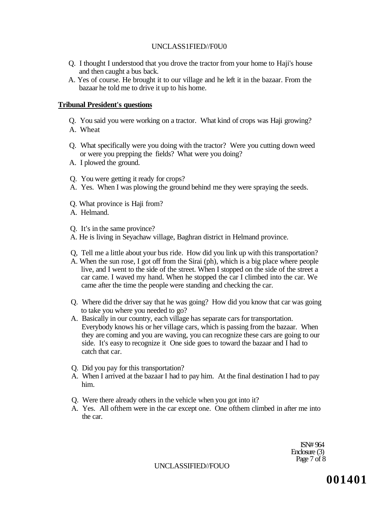#### UNCLASS1FIED//F0U0

- Q. I thought I understood that you drove the tractor from your home to Haji's house and then caught a bus back.
- A. Yes of course. He brought it to our village and he left it in the bazaar. From the bazaar he told me to drive it up to his home.

## **Tribunal President's questions**

Q. You said you were working on a tractor. What kind of crops was Haji growing? A. Wheat

- Q. What specifically were you doing with the tractor? Were you cutting down weed or were you prepping the fields? What were you doing?
- A. I plowed the ground.
- Q. You were getting it ready for crops?
- A. Yes. When I was plowing the ground behind me they were spraying the seeds.
- Q. What province is Haji from?
- A. Helmand.

Q. It's in the same province?

- A. He is living in Seyachaw village, Baghran district in Helmand province.
- Q, Tell me a little about your bus ride. How did you link up with this transportation?
- A. When the sun rose, I got off from the Sirai (ph), which is a big place where people live, and I went to the side of the street. When I stopped on the side of the street a car came. I waved my hand. When he stopped the car I climbed into the car. We came after the time the people were standing and checking the car.
- Q. Where did the driver say that he was going? How did you know that car was going to take you where you needed to go?
- A. Basically in our country, each village has separate cars for transportation. Everybody knows his or her village cars, which is passing from the bazaar. When they are coming and you are waving, you can recognize these cars are going to our side. It's easy to recognize it One side goes to toward the bazaar and I had to catch that car.
- Q. Did you pay for this transportation?
- A. When I arrived at the bazaar I had to pay him. At the final destination I had to pay him.
- Q. Were there already others in the vehicle when you got into it?
- A. Yes. All ofthem were in the car except one. One ofthem climbed in after me into the car.

ISN# 964 Enclosure (3) Page 7 of 8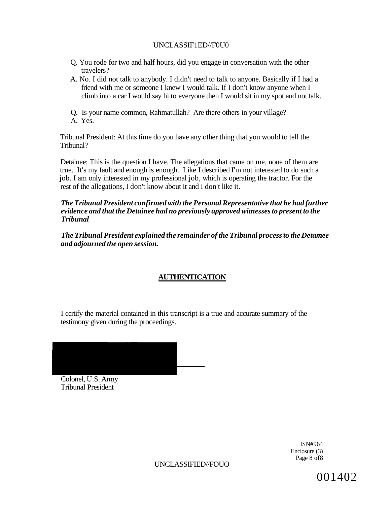## UNCLASSIF1ED//F0U0

- Q. You rode for two and half hours, did you engage in conversation with the other travelers?
- A. No. I did not talk to anybody. I didn't need to talk to anyone. Basically if I had a friend with me or someone I knew I would talk. If I don't know anyone when I climb into a car I would say hi to everyone then I would sit in my spot and not talk.

Q. Is your name common, Rahmatullah? Are there others in your village? A. Yes.

Tribunal President: At this time do you have any other thing that you would to tell the Tribunal?

Detainee: This is the question I have. The allegations that came on me, none of them are true. It's my fault and enough is enough. Like I described I'm not interested to do such a job. I am only interested in my professional job, which is operating the tractor. For the rest of the allegations, I don't know about it and I don't like it.

## *The Tribunal President confirmed with the Personal Representative that he had further evidence and that the Detainee had no previously approved witnesses to present to the Tribunal*

*The Tribunal President explained the remainder of the Tribunal process to the Detamee and adjourned the open session.* 

# **AUTHENTICATION**

I certify the material contained in this transcript is a true and accurate summary of the testimony given during the proceedings.

Colonel, U.S. Army Tribunal President

> ISN#964 Enclosure (3) Page 8 of8

UNCLASSIFIED//FOUO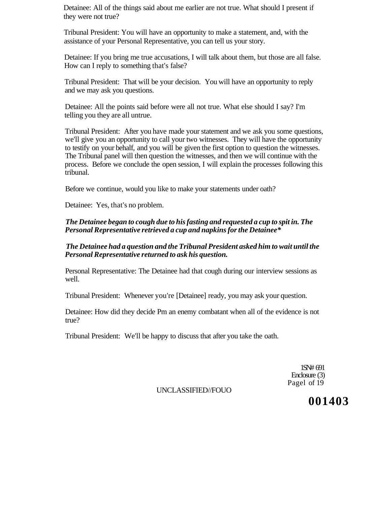Detainee: All of the things said about me earlier are not true. What should I present if they were not true?

Tribunal President: You will have an opportunity to make a statement, and, with the assistance of your Personal Representative, you can tell us your story.

Detainee: If you bring me true accusations, I will talk about them, but those are all false. How can I reply to something that's false?

Tribunal President: That will be your decision. You will have an opportunity to reply and we may ask you questions.

Detainee: All the points said before were all not true. What else should I say? I'm telling you they are all untrue.

Tribunal President: After you have made your statement and we ask you some questions, we'll give you an opportunity to call your two witnesses. They will have the opportunity to testify on your behalf, and you will be given the first option to question the witnesses. The Tribunal panel will then question the witnesses, and then we will continue with the process. Before we conclude the open session, I will explain the processes following this tribunal.

Before we continue, would you like to make your statements under oath?

Detainee: Yes, that's no problem.

*The Detainee began to cough due to his fasting and requested a cup to spit in. The Personal Representative retrieved a cup and napkins for the Detainee\** 

*The Detainee had a question and the Tribunal President asked him to wait until the Personal Representative returned to ask his question.* 

Personal Representative: The Detainee had that cough during our interview sessions as well.

Tribunal President: Whenever you're [Detainee] ready, you may ask your question.

Detainee: How did they decide Pm an enemy combatant when all of the evidence is not true?

Tribunal President: We'll be happy to discuss that after you take the oath.

1SN# 691 Enclosure (3) Pagel of 19

UNCLASSIFIED//FOUO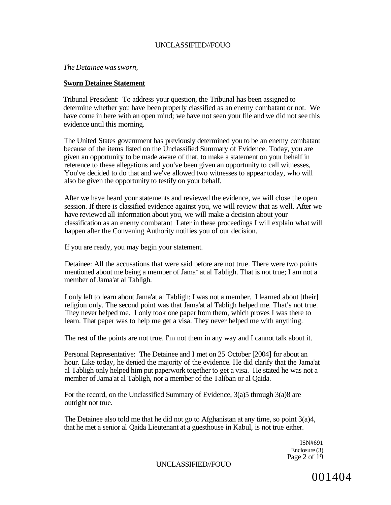*The Detainee was sworn,* 

#### **Sworn Detainee Statement**

Tribunal President: To address your question, the Tribunal has been assigned to determine whether you have been properly classified as an enemy combatant or not. We have come in here with an open mind; we have not seen your file and we did not see this evidence until this morning.

The United States government has previously determined you to be an enemy combatant because of the items listed on the Unclassified Summary of Evidence. Today, you are given an opportunity to be made aware of that, to make a statement on your behalf in reference to these allegations and you've been given an opportunity to call witnesses, You've decided to do that and we've allowed two witnesses to appear today, who will also be given the opportunity to testify on your behalf.

After we have heard your statements and reviewed the evidence, we will close the open session. If there is classified evidence against you, we will review that as well. After we have reviewed all information about you, we will make a decision about your classification as an enemy combatant Later in these proceedings I will explain what will happen after the Convening Authority notifies you of our decision.

If you are ready, you may begin your statement.

Detainee: All the accusations that were said before are not true. There were two points mentioned about me being a member of Jama<sup>1</sup> at al Tabligh. That is not true; I am not a member of Jama'at al Tabligh.

I only left to learn about Jama'at al Tabligh; I was not a member. I learned about [their] religion only. The second point was that Jama'at al Tabligh helped me. That's not true. They never helped me. I only took one paper from them, which proves I was there to learn. That paper was to help me get a visa. They never helped me with anything.

The rest of the points are not true. I'm not them in any way and I cannot talk about it.

Personal Representative: The Detainee and I met on 25 October [2004] for about an hour. Like today, he denied the majority of the evidence. He did clarify that the Jama'at al Tabligh only helped him put paperwork together to get a visa. He stated he was not a member of Jama'at al Tabligh, nor a member of the Taliban or al Qaida.

For the record, on the Unclassified Summary of Evidence, 3(a)5 through 3(a)8 are outright not true.

The Detainee also told me that he did not go to Afghanistan at any time, so point 3(a)4, that he met a senior al Qaida Lieutenant at a guesthouse in Kabul, is not true either.

> ISN#691 Enclosure (3) Page 2 of 19

UNCLASSIFIED//FOUO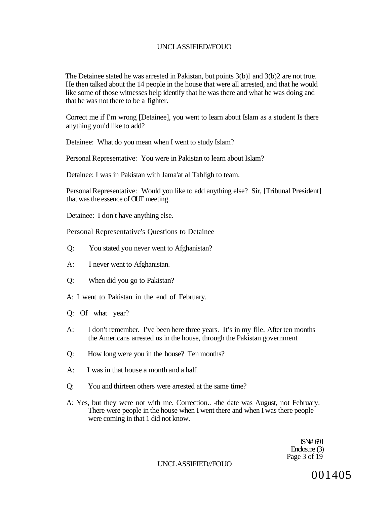The Detainee stated he was arrested in Pakistan, but points 3(b)l and 3(b)2 are not true. He then talked about the 14 people in the house that were all arrested, and that he would like some of those witnesses help identify that he was there and what he was doing and that he was not there to be a fighter.

Correct me if I'm wrong [Detainee], you went to learn about Islam as a student Is there anything you'd like to add?

Detainee: What do you mean when I went to study Islam?

Personal Representative: You were in Pakistan to learn about Islam?

Detainee: I was in Pakistan with Jama'at al Tabligh to team.

Personal Representative: Would you like to add anything else? Sir, [Tribunal President] that was the essence of OUT meeting.

Detainee: I don't have anything else.

#### Personal Representative's Questions to Detainee

- Q: You stated you never went to Afghanistan?
- A: I never went to Afghanistan.
- Q: When did you go to Pakistan?
- A: I went to Pakistan in the end of February.
- Q: Of what year?
- A: I don't remember. I've been here three years. It's in my file. After ten months the Americans arrested us in the house, through the Pakistan government
- Q: How long were you in the house? Ten months?
- A: I was in that house a month and a half.
- Q: You and thirteen others were arrested at the same time?
- A: Yes, but they were not with me. Correction.. -the date was August, not February. There were people in the house when I went there and when I was there people were coming in that 1 did not know.

ISN# 691 Enclosure (3) Page 3 of 19

UNCLASSIFIED//FOUO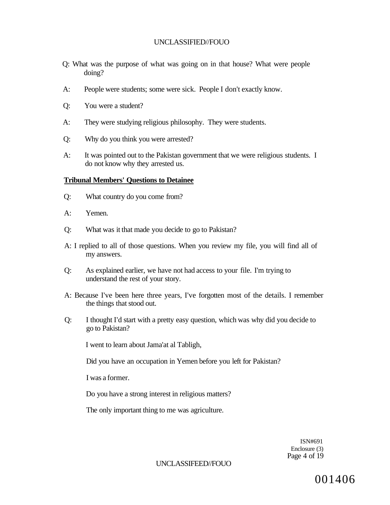- Q: What was the purpose of what was going on in that house? What were people doing?
- A: People were students; some were sick. People I don't exactly know.
- Q: You were a student?
- A: They were studying religious philosophy. They were students.
- Q: Why do you think you were arrested?
- A: It was pointed out to the Pakistan government that we were religious students. I do not know why they arrested us.

#### **Tribunal Members' Questions to Detainee**

- Q: What country do you come from?
- A: Yemen.
- Q: What was it that made you decide to go to Pakistan?
- A: I replied to all of those questions. When you review my file, you will find all of my answers.
- Q: As explained earlier, we have not had access to your file. I'm trying to understand the rest of your story.
- A: Because I've been here three years, I've forgotten most of the details. I remember the things that stood out.
- Q: I thought I'd start with a pretty easy question, which was why did you decide to go to Pakistan?

I went to learn about Jama'at al Tabligh,

Did you have an occupation in Yemen before you left for Pakistan?

I was a former.

Do you have a strong interest in religious matters?

The only important thing to me was agriculture.

ISN#691 Enclosure (3) Page 4 of 19

#### UNCLASSIFEED//FOUO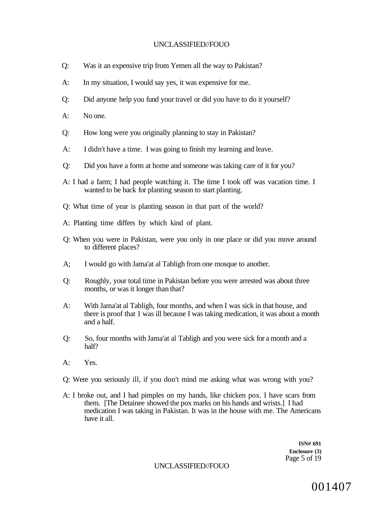- Q: Was it an expensive trip from Yemen all the way to Pakistan?
- A: In my situation, I would say yes, it was expensive for me.
- Q: Did anyone help you fund your travel or did you have to do it yourself?
- A: No one.
- Q: How long were you originally planning to stay in Pakistan?
- A: I didn't have a time. I was going to finish my learning and leave.
- Q: Did you have a form at home and someone was taking care of it for you?
- A: I had a farm; I had people watching it. The time I took off was vacation time. I wanted to be back for planting season to start planting.
- Q: What time of year is planting season in that part of the world?
- A: Planting time differs by which kind of plant.
- Q: When you were in Pakistan, were you only in one place or did you move around to different places?
- A; I would go with Jama'at al Tabligh from one mosque to another.
- Q: Roughly, your total time in Pakistan before you were arrested was about three months, or was it longer than that?
- A: With Jama'at al Tabligh, four months, and when I was sick in that house, and there is proof that 1 was ill because I was taking medication, it was about a month and a half.
- Q: So, four months with Jama'at al Tabligh and you were sick for a month and a half?
- A: Yes.
- Q: Were you seriously ill, if you don't mind me asking what was wrong with you?
- A: I broke out, and I had pimples on my hands, like chicken pox. I have scars from them. [The Detainee showed the pox marks on his hands and wrists.] I had medication I was taking in Pakistan. It was in the house with me. The Americans have it all.

**ISN# 691 Enclosure (3)**  Page 5 of 19

UNCLASSIFIED//FOUO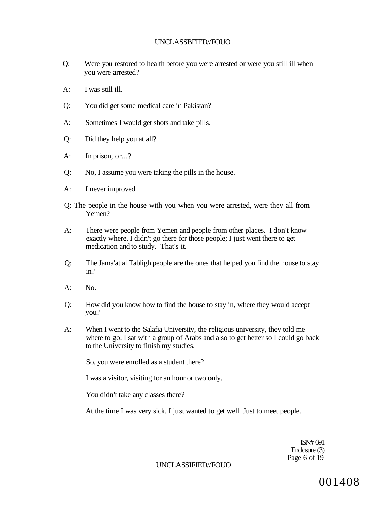- Q: Were you restored to health before you were arrested or were you still ill when you were arrested?
- A: I was still ill.
- Q: You did get some medical care in Pakistan?
- A: Sometimes I would get shots and take pills.
- Q: Did they help you at all?
- A: In prison, or...?
- Q: No, I assume you were taking the pills in the house.
- A: I never improved.
- Q: The people in the house with you when you were arrested, were they all from Yemen?
- A: There were people from Yemen and people from other places. I don't know exactly where. I didn't go there for those people; I just went there to get medication and to study. That's it.
- Q: The Jama'at al Tabligh people are the ones that helped you find the house to stay in?
- $A:$  No.
- Q: How did you know how to find the house to stay in, where they would accept you?
- A: When I went to the Salafia University, the religious university, they told me where to go. I sat with a group of Arabs and also to get better so I could go back to the University to finish my studies.

So, you were enrolled as a student there?

I was a visitor, visiting for an hour or two only.

You didn't take any classes there?

At the time I was very sick. I just wanted to get well. Just to meet people.

ISN# 691 Enclosure (3) Page 6 of 19

UNCLASSIFIED//FOUO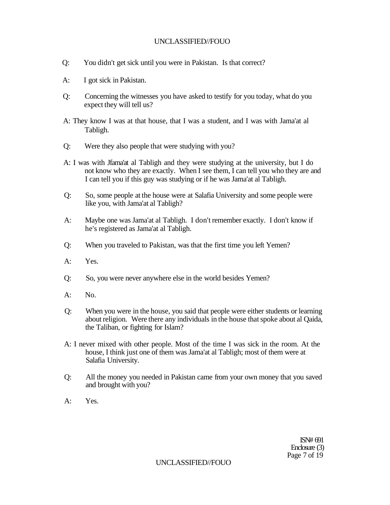- Q: You didn't get sick until you were in Pakistan. Is that correct?
- A: I got sick in Pakistan.
- Q: Concerning the witnesses you have asked to testify for you today, what do you expect they will tell us?
- A: They know I was at that house, that I was a student, and I was with Jama'at al Tabligh.
- Q: Were they also people that were studying with you?
- A: I was with Jfama'at al Tabligh and they were studying at the university, but I do not know who they are exactly. When I see them, I can tell you who they are and I can tell you if this guy was studying or if he was Jama'at al Tabligh.
- Q: So, some people at the house were at Salafia University and some people were like you, with Jama'at al Tabligh?
- A: Maybe one was Jama'at al Tabligh. I don't remember exactly. I don't know if he's registered as Jama'at al Tabligh.
- Q: When you traveled to Pakistan, was that the first time you left Yemen?
- A: Yes.
- Q: So, you were never anywhere else in the world besides Yemen?
- A: No.
- Q: When you were in the house, you said that people were either students or learning about religion. Were there any individuals in the house that spoke about al Qaida, the Taliban, or fighting for Islam?
- A: I never mixed with other people. Most of the time I was sick in the room. At the house, I think just one of them was Jama'at al Tabligh; most of them were at Salafia University.
- Q: All the money you needed in Pakistan came from your own money that you saved and brought with you?
- $A^T$  Yes.

ISN# 691 Enclosure (3) Page 7 of 19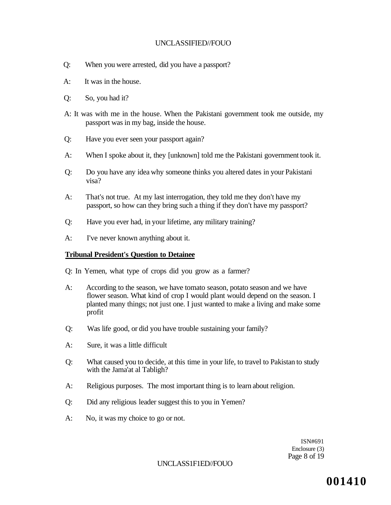- Q: When you were arrested, did you have a passport?
- A: It was in the house.
- Q: So, you had it?
- A: It was with me in the house. When the Pakistani government took me outside, my passport was in my bag, inside the house.
- Q: Have you ever seen your passport again?
- A: When I spoke about it, they [unknown] told me the Pakistani government took it.
- Q: Do you have any idea why someone thinks you altered dates in your Pakistani visa?
- A: That's not true. At my last interrogation, they told me they don't have my passport, so how can they bring such a thing if they don't have my passport?
- Q: Have you ever had, in your lifetime, any military training?
- A: I've never known anything about it.

#### **Tribunal President's Question to Detainee**

Q: In Yemen, what type of crops did you grow as a farmer?

- A: According to the season, we have tomato season, potato season and we have flower season. What kind of crop I would plant would depend on the season. I planted many things; not just one. I just wanted to make a living and make some profit
- Q: Was life good, or did you have trouble sustaining your family?
- A: Sure, it was a little difficult
- Q: What caused you to decide, at this time in your life, to travel to Pakistan to study with the Jama'at al Tabligh?
- A: Religious purposes. The most important thing is to learn about religion.
- Q: Did any religious leader suggest this to you in Yemen?
- A: No, it was my choice to go or not.

ISN#691 Enclosure (3) Page 8 of 19

#### UNCLASS1F1ED//FOUO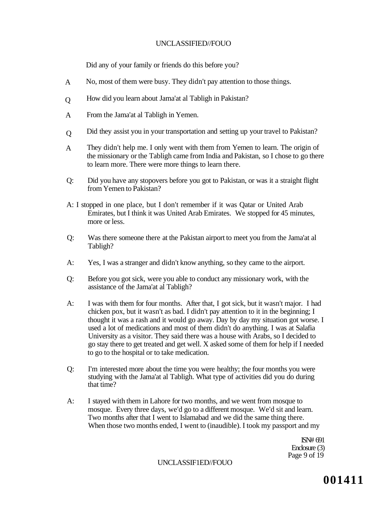Did any of your family or friends do this before you?

- No, most of them were busy. They didn't pay attention to those things. A
- How did you learn about Jama'at al Tabligh in Pakistan?  $\overline{O}$
- From the Jama'at al Tabligh in Yemen. A
- Did they assist you in your transportation and setting up your travel to Pakistan? Q
- They didn't help me. I only went with them from Yemen to learn. The origin of the missionary or the Tabligh came from India and Pakistan, so I chose to go there to learn more. There were more things to learn there. A
- Q: Did you have any stopovers before you got to Pakistan, or was it a straight flight from Yemen to Pakistan?
- A: I stopped in one place, but I don't remember if it was Qatar or United Arab Emirates, but I think it was United Arab Emirates. We stopped for 45 minutes, more or less.
- Q: Was there someone there at the Pakistan airport to meet you from the Jama'at al Tabligh?
- A: Yes, I was a stranger and didn't know anything, so they came to the airport.
- Q: Before you got sick, were you able to conduct any missionary work, with the assistance of the Jama'at al Tabligh?
- A: I was with them for four months. After that, I got sick, but it wasn't major. I had chicken pox, but it wasn't as bad. I didn't pay attention to it in the beginning; I thought it was a rash and it would go away. Day by day my situation got worse. I used a lot of medications and most of them didn't do anything. I was at Salafia University as a visitor. They said there was a house with Arabs, so I decided to go stay there to get treated and get well. X asked some of them for help if I needed to go to the hospital or to take medication.
- Q: I'm interested more about the time you were healthy; the four months you were studying with the Jama'at al Tabligh. What type of activities did you do during that time?
- A: I stayed with them in Lahore for two months, and we went from mosque to mosque. Every three days, we'd go to a different mosque. We'd sit and learn. Two months after that I went to Islamabad and we did the same thing there. When those two months ended, I went to (inaudible). I took my passport and my

ISN# 691 Enclosure (3) Page 9 of  $19$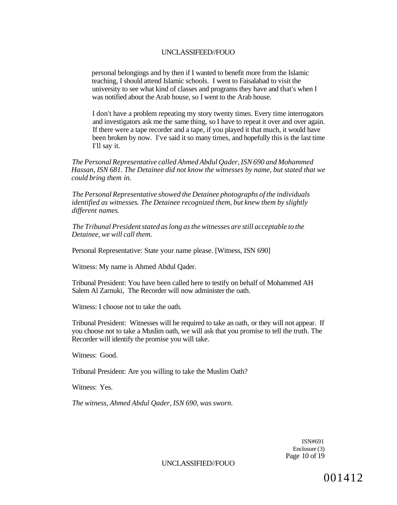personal belongings and by then if I wanted to benefit more from the Islamic teaching, I should attend Islamic schools. I went to Faisalabad to visit the university to see what kind of classes and programs they have and that's when I was notified about the Arab house, so I went to the Arab house.

I don't have a problem repeating my story twenty times. Every time interrogators and investigators ask me the same thing, so I have to repeat it over and over again. If there were a tape recorder and a tape, if you played it that much, it would have been broken by now. I've said it so many times, and hopefully this is the last time I'll say it.

*The Personal Representative called Ahmed Abdul Qader, ISN 690 and Mohammed Hassan, ISN 681. The Detainee did not know the witnesses by name, but stated that we could bring them in.* 

*The Personal Representative showed the Detainee photographs of the individuals identified as witnesses. The Detainee recognized them, but knew them by slightly different names.* 

*The Tribunal President stated as long as the witnesses are still acceptable to the Detainee, we will call them.* 

Personal Representative: State your name please. [Witness, ISN 690]

Witness: My name is Ahmed Abdul Qader.

Tribunal President: You have been called here to testify on behalf of Mohammed AH Salem Al Zarnuki, The Recorder will now administer the oath.

Witness: I choose not to take the oath.

Tribunal President: Witnesses will be required to take an oath, or they will not appear. If you choose not to take a Muslim oath, we will ask that you promise to tell the truth. The Recorder will identify the promise you will take.

Witness: Good.

Tribunal President: Are you willing to take the Muslim Oath?

Witness: Yes.

*The witness, Ahmed Abdul Qader, ISN 690, was sworn.* 

ISN#691 Enclosure (3) Page 10 of 19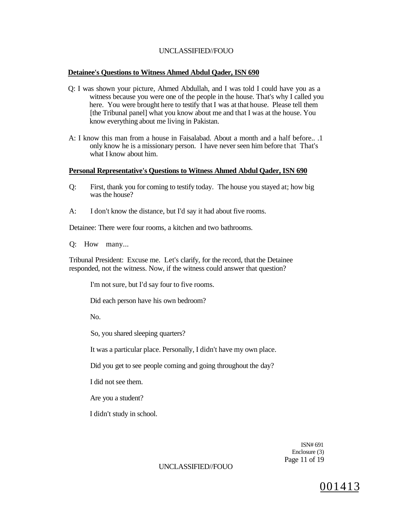#### **Detainee's Questions to Witness Ahmed Abdul Qader, ISN 690**

- Q: I was shown your picture, Ahmed Abdullah, and I was told I could have you as a witness because you were one of the people in the house. That's why I called you here. You were brought here to testify that I was at that house. Please tell them [the Tribunal panel] what you know about me and that I was at the house. You know everything about me living in Pakistan.
- A: I know this man from a house in Faisalabad. About a month and a half before.. .1 only know he is a missionary person. I have never seen him before that That's what I know about him.

#### **Personal Representative's Questions to Witness Ahmed Abdul Qader, ISN 690**

- Q: First, thank you for coming to testify today. The house you stayed at; how big was the house?
- A: I don't know the distance, but I'd say it had about five rooms.

Detainee: There were four rooms, a kitchen and two bathrooms.

Q: How many...

Tribunal President: Excuse me. Let's clarify, for the record, that the Detainee responded, not the witness. Now, if the witness could answer that question?

I'm not sure, but I'd say four to five rooms.

Did each person have his own bedroom?

No.

So, you shared sleeping quarters?

It was a particular place. Personally, I didn't have my own place.

Did you get to see people coming and going throughout the day?

I did not see them.

Are you a student?

I didn't study in school.

ISN# 691 Enclosure (3) Page 11 of 19

UNCLASSIFIED//FOUO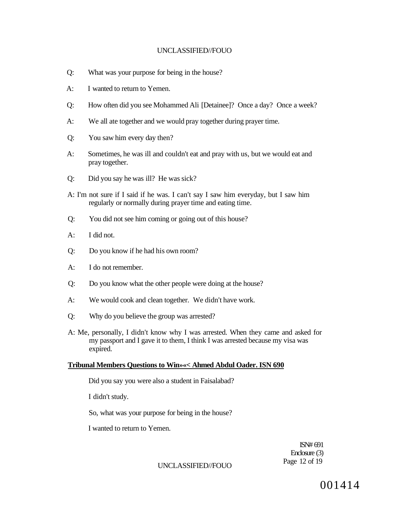- Q: What was your purpose for being in the house?
- A: I wanted to return to Yemen.
- Q: How often did you see Mohammed Ali [Detainee]? Once a day? Once a week?
- A: We all ate together and we would pray together during prayer time.
- Q: You saw him every day then?
- A: Sometimes, he was ill and couldn't eat and pray with us, but we would eat and pray together.
- Q: Did you say he was ill? He was sick?
- A: I'm not sure if I said if he was. I can't say I saw him everyday, but I saw him regularly or normally during prayer time and eating time.
- Q: You did not see him coming or going out of this house?
- A: I did not.
- Q: Do you know if he had his own room?
- A: I do not remember.
- Q: Do you know what the other people were doing at the house?
- A: We would cook and clean together. We didn't have work.
- Q: Why do you believe the group was arrested?
- A: Me, personally, I didn't know why I was arrested. When they came and asked for my passport and I gave it to them, I think I was arrested because my visa was expired.

#### **Tribunal Members Questions to Win»«< Ahmed Abdul Oader. ISN 690**

Did you say you were also a student in Faisalabad?

I didn't study.

So, what was your purpose for being in the house?

I wanted to return to Yemen.

ISN# 691 Enclosure (3) Page 12 of 19

UNCLASSIFIED//FOUO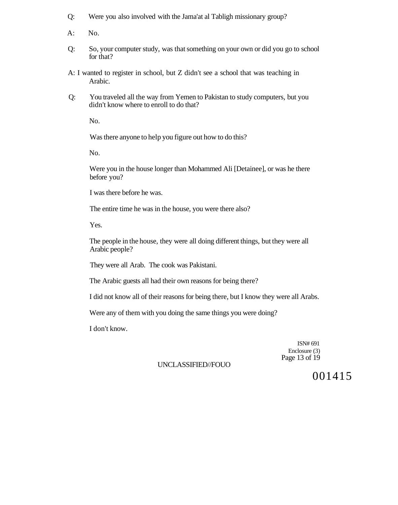- Q: Were you also involved with the Jama'at al Tabligh missionary group?
- A: No.
- Q: So, your computer study, was that something on your own or did you go to school for that?
- A: I wanted to register in school, but Z didn't see a school that was teaching in Arabic.
- Q: You traveled all the way from Yemen to Pakistan to study computers, but you didn't know where to enroll to do that?

No.

Was there anyone to help you figure out how to do this?

No.

Were you in the house longer than Mohammed Ali [Detainee], or was he there before you?

I was there before he was.

The entire time he was in the house, you were there also?

Yes.

The people in the house, they were all doing different things, but they were all Arabic people?

They were all Arab. The cook was Pakistani.

The Arabic guests all had their own reasons for being there?

I did not know all of their reasons for being there, but I know they were all Arabs.

Were any of them with you doing the same things you were doing?

I don't know.

ISN# 691 Enclosure (3) Page 13 of 19

## UNCLASSIFIED//FOUO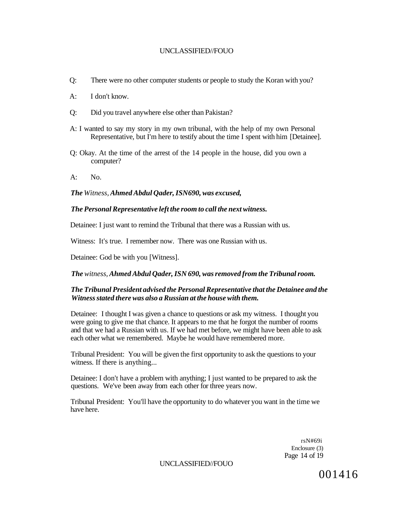- Q: There were no other computer students or people to study the Koran with you?
- A: I don't know.
- Q: Did you travel anywhere else other than Pakistan?
- A: I wanted to say my story in my own tribunal, with the help of my own Personal Representative, but I'm here to testify about the time I spent with him [Detainee].
- Q: Okay. At the time of the arrest of the 14 people in the house, did you own a computer?
- $A:$  No.

*The Witness, Ahmed Abdul Qader, ISN690, was excused,* 

#### *The Personal Representative left the room to call the next witness.*

Detainee: I just want to remind the Tribunal that there was a Russian with us.

Witness: It's true. I remember now. There was one Russian with us.

Detainee: God be with you [Witness].

#### *The witness, Ahmed Abdul Qader, ISN 690, was removed from the Tribunal room.*

## *The Tribunal President advised the Personal Representative that the Detainee and the Witness stated there was also a Russian at the house with them.*

Detainee: I thought I was given a chance to questions or ask my witness. I thought you were going to give me that chance. It appears to me that he forgot the number of rooms and that we had a Russian with us. If we had met before, we might have been able to ask each other what we remembered. Maybe he would have remembered more.

Tribunal President: You will be given the first opportunity to ask the questions to your witness. If there is anything...

Detainee: I don't have a problem with anything; I just wanted to be prepared to ask the questions. We've been away from each other for three years now.

Tribunal President: You'll have the opportunity to do whatever you want in the time we have here.

> rsN#69i Enclosure (3) Page 14 of 19

UNCLASSIFIED//FOUO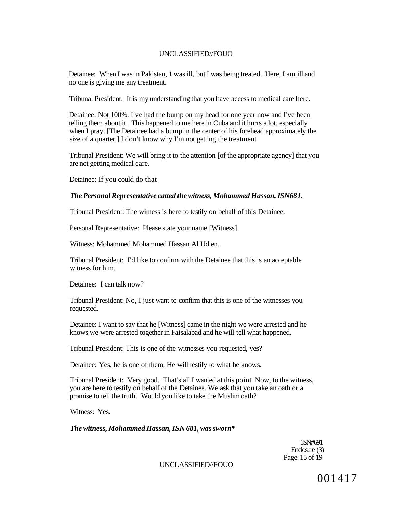Detainee: When I was in Pakistan, 1 was ill, but I was being treated. Here, I am ill and no one is giving me any treatment.

Tribunal President: It is my understanding that you have access to medical care here.

Detainee: Not 100%. I've had the bump on my head for one year now and I've been telling them about it. This happened to me here in Cuba and it hurts a lot, especially when I pray. [The Detainee had a bump in the center of his forehead approximately the size of a quarter.] I don't know why I'm not getting the treatment

Tribunal President: We will bring it to the attention [of the appropriate agency] that you are not getting medical care.

Detainee: If you could do that

#### *The Personal Representative catted the witness, Mohammed Hassan, ISN681.*

Tribunal President: The witness is here to testify on behalf of this Detainee.

Personal Representative: Please state your name [Witness].

Witness: Mohammed Mohammed Hassan Al Udien.

Tribunal President: I'd like to confirm with the Detainee that this is an acceptable witness for him.

Detainee: I can talk now?

Tribunal President: No, I just want to confirm that this is one of the witnesses you requested.

Detainee: I want to say that he [Witness] came in the night we were arrested and he knows we were arrested together in Faisalabad and he will tell what happened.

Tribunal President: This is one of the witnesses you requested, yes?

Detainee: Yes, he is one of them. He will testify to what he knows.

Tribunal President: Very good. That's all I wanted at this point Now, to the witness, you are here to testify on behalf of the Detainee. We ask that you take an oath or a promise to tell the truth. Would you like to take the Muslim oath?

Witness: Yes.

*The witness, Mohammed Hassan, ISN 681, was sworn\** 

1SN#691 Enclosure (3) Page 15 of 19

UNCLASSIFIED//FOUO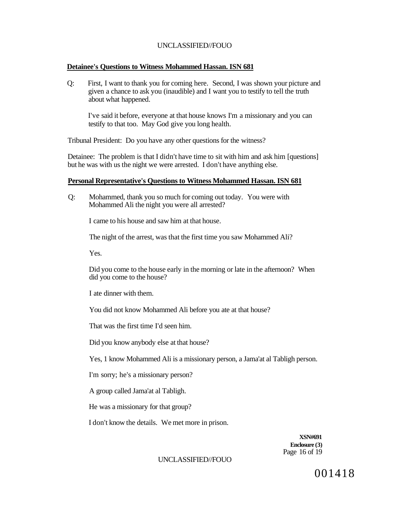#### **Detainee's Questions to Witness Mohammed Hassan. ISN 681**

Q: First, I want to thank you for coming here. Second, I was shown your picture and given a chance to ask you (inaudible) and I want you to testify to tell the truth about what happened.

I've said it before, everyone at that house knows I'm a missionary and you can testify to that too. May God give you long health.

Tribunal President: Do you have any other questions for the witness?

Detainee: The problem is that I didn't have time to sit with him and ask him [questions] but he was with us the night we were arrested. I don't have anything else.

#### **Personal Representative's Questions to Witness Mohammed Hassan. ISN 681**

Q: Mohammed, thank you so much for coming out today. You were with Mohammed Ali the night you were all arrested?

I came to his house and saw him at that house.

The night of the arrest, was that the first time you saw Mohammed Ali?

Yes.

Did you come to the house early in the morning or late in the afternoon? When did you come to the house?

I ate dinner with them.

You did not know Mohammed Ali before you ate at that house?

That was the first time I'd seen him.

Did you know anybody else at that house?

Yes, 1 know Mohammed Ali is a missionary person, a Jama'at al Tabligh person.

I'm sorry; he's a missionary person?

A group called Jama'at al Tabligh.

He was a missionary for that group?

I don't know the details. We met more in prison.

**XSN#691 Enclosure (3)**  Page 16 of 19

#### UNCLASSIFIED//FOUO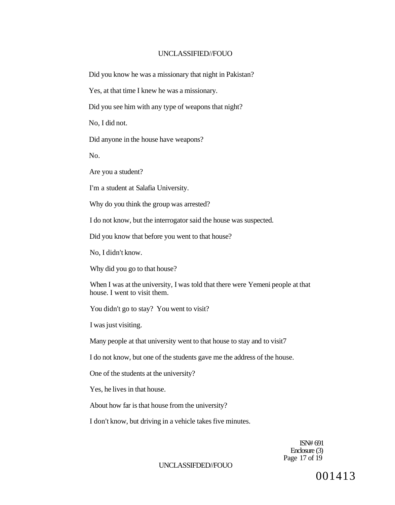Did you know he was a missionary that night in Pakistan?

Yes, at that time I knew he was a missionary.

Did you see him with any type of weapons that night?

No, I did not.

Did anyone in the house have weapons?

No.

Are you a student?

I'm a student at Salafia University.

Why do you think the group was arrested?

I do not know, but the interrogator said the house was suspected.

Did you know that before you went to that house?

No, I didn't know.

Why did you go to that house?

When I was at the university, I was told that there were Yemeni people at that house. I went to visit them.

You didn't go to stay? You went to visit?

I was just visiting.

Many people at that university went to that house to stay and to visit7

I do not know, but one of the students gave me the address of the house.

One of the students at the university?

Yes, he lives in that house.

About how far is that house from the university?

I don't know, but driving in a vehicle takes five minutes.

ISN# 691 Enclosure (3) Page 17 of 19

UNCLASSIFDED//FOUO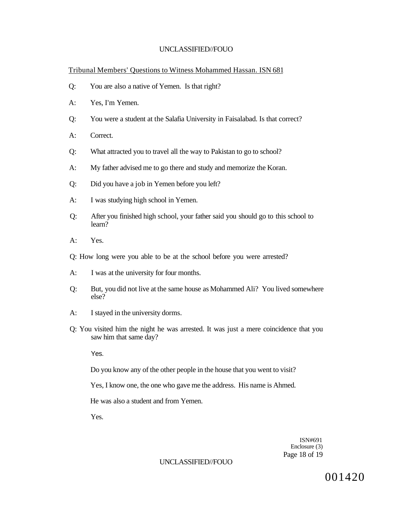Tribunal Members' Questions to Witness Mohammed Hassan. ISN 681

- Q: You are also a native of Yemen. Is that right?
- A: Yes, I'm Yemen.
- Q: You were a student at the Salafia University in Faisalabad. Is that correct?
- A: Correct.
- Q: What attracted you to travel all the way to Pakistan to go to school?
- A: My father advised me to go there and study and memorize the Koran.
- Q: Did you have a job in Yemen before you left?
- A: I was studying high school in Yemen.
- Q: After you finished high school, your father said you should go to this school to learn?
- A: Yes.
- Q: How long were you able to be at the school before you were arrested?
- A: I was at the university for four months.
- Q: But, you did not live at the same house as Mohammed Ali? You lived somewhere else?
- A: I stayed in the university dorms.
- Q: You visited him the night he was arrested. It was just a mere coincidence that you saw him that same day?

Yes.

Do you know any of the other people in the house that you went to visit?

Yes, I know one, the one who gave me the address. His name is Ahmed.

He was also a student and from Yemen.

Yes.

ISN#691 Enclosure (3) Page 18 of 19

### UNCLASSIFIED//FOUO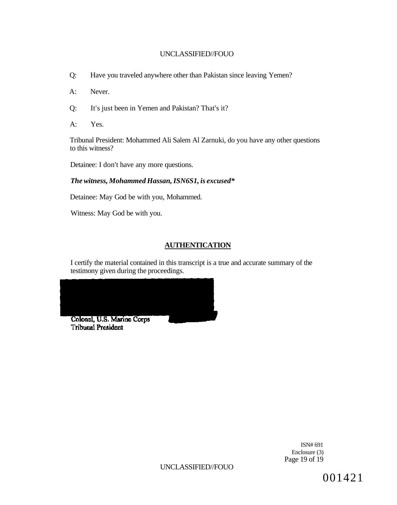- Q: Have you traveled anywhere other than Pakistan since leaving Yemen?
- A: Never.
- Q: It's just been in Yemen and Pakistan? That's it?
- A: Yes.

Tribunal President: Mohammed Ali Salem Al Zarnuki, do you have any other questions to this witness?

Detainee: I don't have any more questions.

## *The witness, Mohammed Hassan, ISN6S1, is excused\**

Detainee: May God be with you, Mohammed.

Witness: May God be with you.

# **AUTHENTICATION**

I certify the material contained in this transcript is a true and accurate summary of the testimony given during the proceedings.



**Tribunal President** 

ISN# 691 Enclosure (3) Page 19 of 19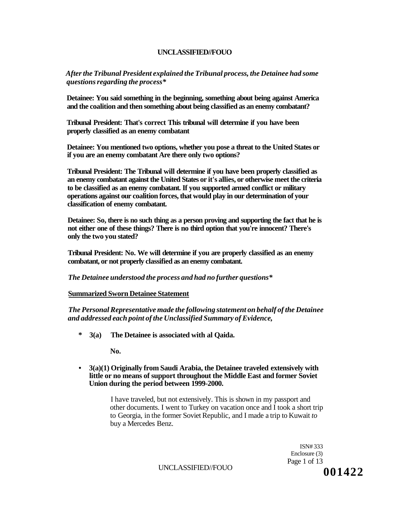*After the Tribunal President explained the Tribunal process, the Detainee had some questions regarding the process\** 

**Detainee: You said something in the beginning, something about being against America and the coalition and then something about being classified as an enemy combatant?** 

**Tribunal President: That's correct This tribunal will determine if you have been properly classified as an enemy combatant** 

**Detainee: You mentioned two options, whether you pose a threat to the United States or if you are an enemy combatant Are there only two options?** 

**Tribunal President: The Tribunal will determine if you have been properly classified as an enemy combatant against the United States or it's allies, or otherwise meet the criteria to be classified as an enemy combatant. If you supported armed conflict or military operations against our coalition forces, that would play in our determination of your classification of enemy combatant.** 

**Detainee: So, there is no such thing as a person proving and supporting the fact that he is not either one of these things? There is no third option that you're innocent? There's only the two you stated?** 

**Tribunal President: No. We will determine if you are properly classified as an enemy combatant, or not properly classified as an enemy combatant.** 

*The Detainee understood the process and had no further questions\** 

#### **Summarized Sworn Detainee Statement**

*The Personal Representative made the following statement on behalf of the Detainee and addressed each point of the Unclassified Summary of Evidence,* 

**\* 3(a) The Detainee is associated with al Qaida.** 

**No.** 

**• 3(a)(1) Originally from Saudi Arabia, the Detainee traveled extensively with little or no means of support throughout the Middle East and former Soviet Union during the period between 1999-2000.** 

> I have traveled, but not extensively. This is shown in my passport and other documents. I went to Turkey on vacation once and I took a short trip to Georgia, in the former Soviet Republic, and I made a trip to Kuwait *to*  buy a Mercedes Benz.

> > ISN# 333 Enclosure (3) Page 1 of 13

UNCLASSIFIED//FOUO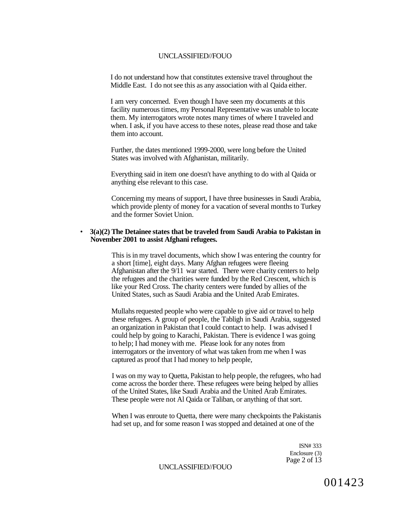I do not understand how that constitutes extensive travel throughout the Middle East. I do not see this as any association with al Qaida either.

I am very concerned. Even though I have seen my documents at this facility numerous times, my Personal Representative was unable to locate them. My interrogators wrote notes many times of where I traveled and when. I ask, if you have access to these notes, please read those and take them into account.

Further, the dates mentioned 1999-2000, were long before the United States was involved with Afghanistan, militarily.

Everything said in item one doesn't have anything to do with al Qaida or anything else relevant to this case.

Concerning my means of support, I have three businesses in Saudi Arabia, which provide plenty of money for a vacation of several months to Turkey and the former Soviet Union.

#### • **3(a)(2) The Detainee states that be traveled from Saudi Arabia to Pakistan in November 2001 to assist Afghani refugees.**

This is in my travel documents, which show I was entering the country for a short [time], eight days. Many Afghan refugees were fleeing Afghanistan after the 9/11 war started. There were charity centers to help the refugees and the charities were funded by the Red Crescent, which is like your Red Cross. The charity centers were funded by allies of the United States, such as Saudi Arabia and the United Arab Emirates.

Mullahs requested people who were capable to give aid or travel to help these refugees. A group of people, the Tabligh in Saudi Arabia, suggested an organization in Pakistan that I could contact to help. I was advised I could help by going to Karachi, Pakistan. There is evidence I was going to help; I had money with me. Please look for any notes from interrogators or the inventory of what was taken from me when I was captured as proof that I had money to help people,

I was on my way to Quetta, Pakistan to help people, the refugees, who had come across the border there. These refugees were being helped by allies of the United States, like Saudi Arabia and the United Arab Emirates. These people were not Al Qaida or Taliban, or anything of that sort.

When I was enroute to Quetta, there were many checkpoints the Pakistanis had set up, and for some reason I was stopped and detained at one of the

> ISN# 333 Enclosure (3) Page 2 of 13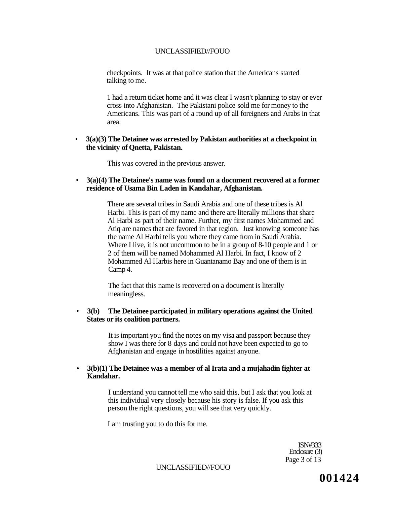checkpoints. It was at that police station that the Americans started talking to me.

1 had a return ticket home and it was clear I wasn't planning to stay or ever cross into Afghanistan. The Pakistani police sold me for money to the Americans. This was part of a round up of all foreigners and Arabs in that area.

#### • **3(a)(3) The Detainee was arrested by Pakistan authorities at a checkpoint in the vicinity of Qnetta, Pakistan.**

This was covered in the previous answer.

• **3(a)(4) The Detainee's name was found on a document recovered at a former residence of Usama Bin Laden in Kandahar, Afghanistan.** 

> There are several tribes in Saudi Arabia and one of these tribes is Al Harbi. This is part of my name and there are literally millions that share Al Harbi as part of their name. Further, my first names Mohammed and Atiq are names that are favored in that region. Just knowing someone has the name Al Harbi tells you where they came from in Saudi Arabia. Where I live, it is not uncommon to be in a group of 8-10 people and 1 or 2 of them will be named Mohammed Al Harbi. In fact, I know of 2 Mohammed Al Harbis here in Guantanamo Bay and one of them is in Camp 4.

The fact that this name is recovered on a document is literally meaningless.

#### • **3(b) The Detainee participated in military operations against the United States or its coalition partners.**

It is important you find the notes on my visa and passport because they show I was there for 8 days and could not have been expected to go to Afghanistan and engage in hostilities against anyone.

#### • **3(b)(1) The Detainee was a member of al Irata and a mujahadin fighter at Kandahar.**

I understand you cannot tell me who said this, but I ask that you look at this individual very closely because his story is false. If you ask this person the right questions, you will see that very quickly.

I am trusting you to do this for me.

ISN#333 Enclosure (3) Page 3 of 13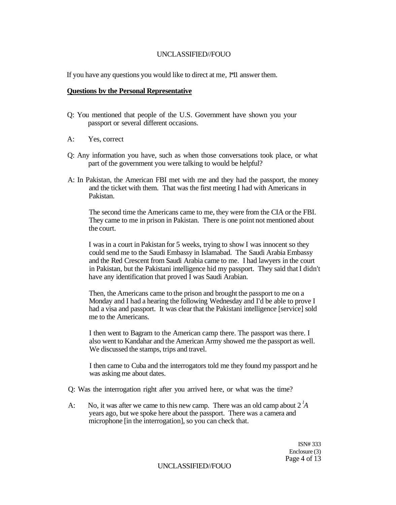If you have any questions you would like to direct at me, 1\*11 answer them.

#### **Questions bv the Personal Representative**

- Q: You mentioned that people of the U.S. Government have shown you your passport or several different occasions.
- A: Yes, correct
- Q: Any information you have, such as when those conversations took place, or what part of the government you were talking to would be helpful?
- A: In Pakistan, the American FBI met with me and they had the passport, the money and the ticket with them. That was the first meeting I had with Americans in Pakistan.

The second time the Americans came to me, they were from the CIA or the FBI. They came to me in prison in Pakistan. There is one point not mentioned about the court.

I was in a court in Pakistan for 5 weeks, trying to show I was innocent so they could send me to the Saudi Embassy in Islamabad. The Saudi Arabia Embassy and the Red Crescent from Saudi Arabia came to me. I had lawyers in the court in Pakistan, but the Pakistani intelligence hid my passport. They said that I didn't have any identification that proved I was Saudi Arabian.

Then, the Americans came to the prison and brought the passport to me on a Monday and I had a hearing the following Wednesday and I'd be able to prove I had a visa and passport. It was clear that the Pakistani intelligence [service] sold me to the Americans.

I then went to Bagram to the American camp there. The passport was there. I also went to Kandahar and the American Army showed me the passport as well. We discussed the stamps, trips and travel.

I then came to Cuba and the interrogators told me they found my passport and he was asking me about dates.

Q: Was the interrogation right after you arrived here, or what was the time?

A: No, it was after we came to this new camp. There was an old camp about 2 *<sup>l</sup>A*  years ago, but we spoke here about the passport. There was a camera and microphone [in the interrogation], so you can check that.

> ISN# 333 Enclosure (3) Page 4 of 13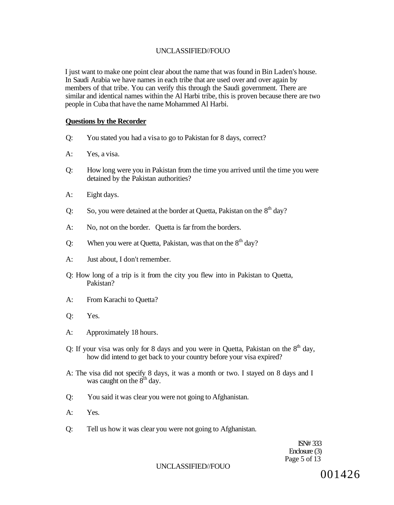I just want to make one point clear about the name that was found in Bin Laden's house. In Saudi Arabia we have names in each tribe that are used over and over again by members of that tribe. You can verify this through the Saudi government. There are similar and identical names within the Al Harbi tribe, this is proven because there are two people in Cuba that have the name Mohammed Al Harbi.

#### **Questions by the Recorder**

- Q: You stated you had a visa to go to Pakistan for 8 days, correct?
- A: Yes, a visa.
- Q: How long were you in Pakistan from the time you arrived until the time you were detained by the Pakistan authorities?
- A: Eight days.
- Q: So, you were detained at the border at Quetta, Pakistan on the  $8<sup>th</sup>$  day?
- A: No, not on the border. Quetta is far from the borders.
- Q: When you were at Quetta, Pakistan, was that on the  $8<sup>th</sup>$  day?
- A: Just about, I don't remember.
- Q: How long of a trip is it from the city you flew into in Pakistan to Quetta, Pakistan?
- A: From Karachi to Quetta?
- Q: Yes.
- A: Approximately 18 hours.
- Q: If your visa was only for 8 days and you were in Quetta, Pakistan on the  $8<sup>th</sup>$  day, how did intend to get back to your country before your visa expired?
- A: The visa did not specify 8 days, it was a month or two. I stayed on 8 days and I was caught on the  $8<sup>th</sup>$  day.
- Q: You said it was clear you were not going to Afghanistan.
- A: Yes.
- Q: Tell us how it was clear you were not going to Afghanistan.

ISN# 333 Enclosure (3) Page 5 of 13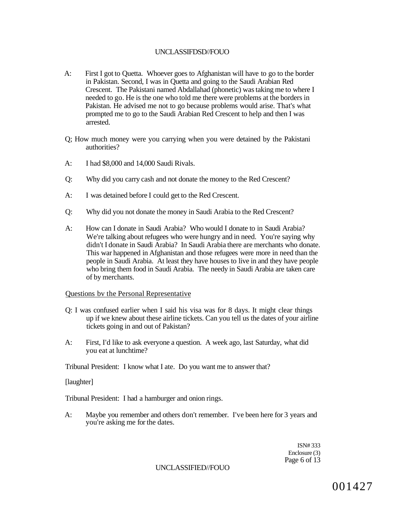## UNCLASSIFDSD//FOUO

- A: First I got to Quetta. Whoever goes to Afghanistan will have to go to the border in Pakistan. Second, I was in Quetta and going to the Saudi Arabian Red Crescent. The Pakistani named Abdallahad (phonetic) was taking me to where I needed to go. He is the one who told me there were problems at the borders in Pakistan. He advised me not to go because problems would arise. That's what prompted me to go to the Saudi Arabian Red Crescent to help and then I was arrested.
- Q; How much money were you carrying when you were detained by the Pakistani authorities?
- A: I had \$8,000 and 14,000 Saudi Rivals.
- Q: Why did you carry cash and not donate the money to the Red Crescent?
- A: I was detained before I could get to the Red Crescent.
- Q: Why did you not donate the money in Saudi Arabia to the Red Crescent?
- A: How can I donate in Saudi Arabia? Who would I donate to in Saudi Arabia? We're talking about refugees who were hungry and in need. You're saying why didn't I donate in Saudi Arabia? In Saudi Arabia there are merchants who donate. This war happened in Afghanistan and those refugees were more in need than the people in Saudi Arabia. At least they have houses to live in and they have people who bring them food in Saudi Arabia. The needy in Saudi Arabia are taken care of by merchants.

#### Questions bv the Personal Representative

- Q: I was confused earlier when I said his visa was for 8 days. It might clear things up if we knew about these airline tickets. Can you tell us the dates of your airline tickets going in and out of Pakistan?
- A: First, I'd like to ask everyone a question. A week ago, last Saturday, what did you eat at lunchtime?

Tribunal President: I know what I ate. Do you want me to answer that?

[laughter]

Tribunal President: I had a hamburger and onion rings.

A: Maybe you remember and others don't remember. I've been here for 3 years and you're asking me for the dates.

> ISN# 333 Enclosure (3) Page 6 of 13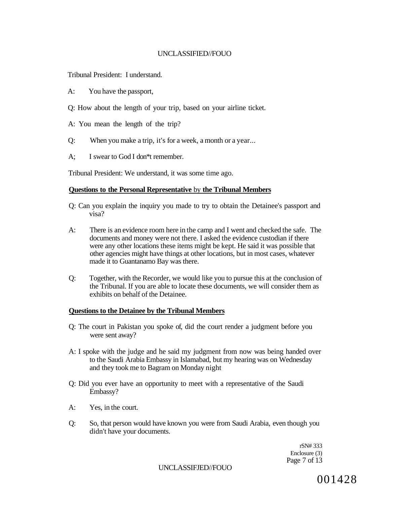Tribunal President: I understand.

- A: You have the passport,
- Q: How about the length of your trip, based on your airline ticket.
- A: You mean the length of the trip?
- Q: When you make a trip, it's for a week, a month or a year...
- A; I swear to God I don\*t remember.

Tribunal President: We understand, it was some time ago.

#### **Questions to the Personal Representative** by **the Tribunal Members**

- Q: Can you explain the inquiry you made to try to obtain the Detainee's passport and visa?
- A: There is an evidence room here in the camp and I went and checked the safe. The documents and money were not there. I asked the evidence custodian if there were any other locations these items might be kept. He said it was possible that other agencies might have things at other locations, but in most cases, whatever made it to Guantanamo Bay was there.
- Q: Together, with the Recorder, we would like you to pursue this at the conclusion of the Tribunal. If you are able to locate these documents, we will consider them as exhibits on behalf of the Detainee.

#### **Questions to the Detainee by the Tribunal Members**

- Q: The court in Pakistan you spoke of, did the court render a judgment before you were sent away?
- A: I spoke with the judge and he said my judgment from now was being handed over to the Saudi Arabia Embassy in Islamabad, but my hearing was on Wednesday and they took me to Bagram on Monday night
- Q: Did you ever have an opportunity to meet with a representative of the Saudi Embassy?
- A: Yes, in the court.
- Q: So, that person would have known you were from Saudi Arabia, even though you didn't have your documents.

rSN# 333 Enclosure (3) Page 7 of 13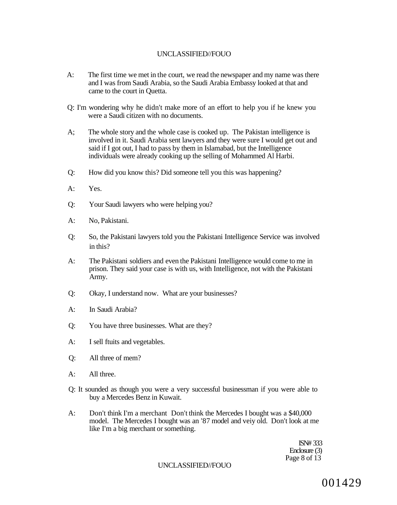- A: The first time we met in the court, we read the newspaper and my name was there and I was from Saudi Arabia, so the Saudi Arabia Embassy looked at that and came to the court in Quetta.
- Q: I'm wondering why he didn't make more of an effort to help you if he knew you were a Saudi citizen with no documents.
- A; The whole story and the whole case is cooked up. The Pakistan intelligence is involved in it. Saudi Arabia sent lawyers and they were sure I would get out and said if I got out, I had to pass by them in Islamabad, but the Intelligence individuals were already cooking up the selling of Mohammed Al Harbi.
- Q: How did you know this? Did someone tell you this was happening?
- A: Yes.
- Q: Your Saudi lawyers who were helping you?
- A: No, Pakistani.
- Q: So, the Pakistani lawyers told you the Pakistani Intelligence Service was involved in this?
- A: The Pakistani soldiers and even the Pakistani Intelligence would come to me in prison. They said your case is with us, with Intelligence, not with the Pakistani Army.
- Q: Okay, I understand now. What are your businesses?
- A: In Saudi Arabia?
- Q: You have three businesses. What are they?
- A: I sell ftuits and vegetables.
- Q: All three of mem?
- A: All three.
- Q: It sounded as though you were a very successful businessman if you were able to buy a Mercedes Benz in Kuwait.
- A: Don't think I'm a merchant Don't think the Mercedes I bought was a \$40,000 model. The Mercedes I bought was an '87 model and veiy old. Don't look at me like I'm a big merchant or something.

ISN# 333 Enclosure (3) Page 8 of 13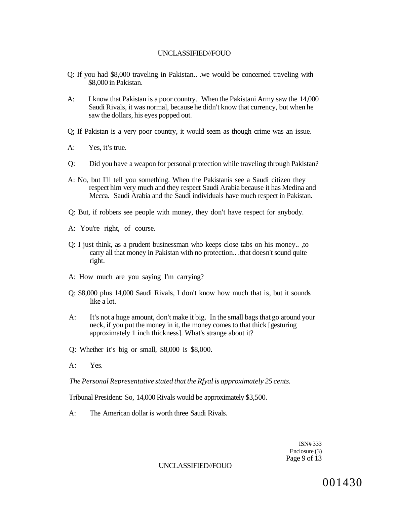- Q: If you had \$8,000 traveling in Pakistan.. .we would be concerned traveling with \$8,000 in Pakistan.
- A: I know that Pakistan is a poor country. When the Pakistani Army saw the 14,000 Saudi Rivals, it was normal, because he didn't know that currency, but when he saw the dollars, his eyes popped out.
- Q; If Pakistan is a very poor country, it would seem as though crime was an issue.
- A: Yes, it's true.
- Q: Did you have a weapon for personal protection while traveling through Pakistan?
- A: No, but I'll tell you something. When the Pakistanis see a Saudi citizen they respect him very much and they respect Saudi Arabia because it has Medina and Mecca. Saudi Arabia and the Saudi individuals have much respect in Pakistan.
- Q: But, if robbers see people with money, they don't have respect for anybody.
- A: You're right, of course.
- Q: I just think, as a prudent businessman who keeps close tabs on his money.. ,to carry all that money in Pakistan with no protection.. .that doesn't sound quite right.
- A: How much are you saying I'm carrying?
- Q: \$8,000 plus 14,000 Saudi Rivals, I don't know how much that is, but it sounds like a lot.
- A: It's not a huge amount, don't make it big. In the small bags that go around your neck, if you put the money in it, the money comes to that thick [gesturing approximately 1 inch thickness]. What's strange about it?
- Q: Whether it's big or small, \$8,000 is \$8,000.
- A: Yes.

*The Personal Representative stated that the Rfyal is approximately 25 cents.* 

Tribunal President: So, 14,000 Rivals would be approximately \$3,500.

A: The American dollar is worth three Saudi Rivals.

ISN# 333 Enclosure (3) Page 9 of 13

UNCLASSIFIED//FOUO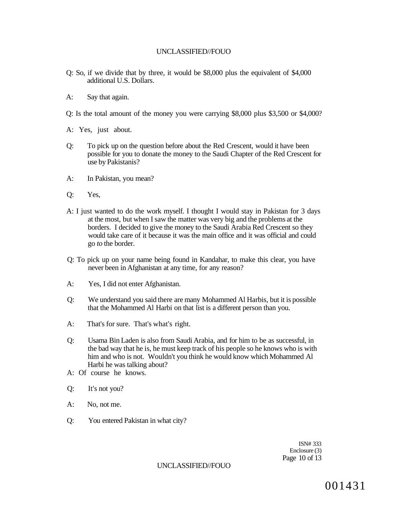- Q: So, if we divide that by three, it would be \$8,000 plus the equivalent of \$4,000 additional U.S. Dollars.
- A: Say that again.

Q: Is the total amount of the money you were carrying \$8,000 plus \$3,500 or \$4,000?

- A: Yes, just about.
- Q: To pick up on the question before about the Red Crescent, would it have been possible for you to donate the money to the Saudi Chapter of the Red Crescent for use by Pakistanis?
- A: In Pakistan, you mean?
- Q: Yes,
- A: I just wanted to do the work myself. I thought I would stay in Pakistan for 3 days at the most, but when I saw the matter was very big and the problems at the borders. I decided to give the money to the Saudi Arabia Red Crescent so they would take care of it because it was the main office and it was official and could go *to* the border.
- Q: To pick up on your name being found in Kandahar, to make this clear, you have never been in Afghanistan at any time, for any reason?
- A: Yes, I did not enter Afghanistan.
- Q: We understand you said there are many Mohammed Al Harbis, but it is possible that the Mohammed Al Harbi on that list is a different person than you.
- A: That's for sure. That's what's right.
- Q: Usama Bin Laden is also from Saudi Arabia, and for him to be as successful, in the bad way that he is, he must keep track of his people so he knows who is with him and who is not. Wouldn't you think he would know which Mohammed Al Harbi he was talking about?
- A: Of course he knows.
- Q: It's not you?
- A: No, not me.
- Q: You entered Pakistan in what city?

ISN# 333 Enclosure (3) Page 10 of 13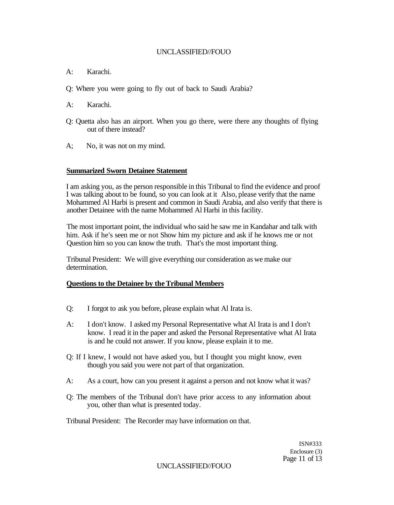- A: Karachi.
- Q: Where you were going to fly out of back to Saudi Arabia?
- A: Karachi.
- Q: Quetta also has an airport. When you go there, were there any thoughts of flying out of there instead?
- A; No, it was not on my mind.

#### **Summarized Sworn Detainee Statement**

I am asking you, as the person responsible in this Tribunal to find the evidence and proof I was talking about to be found, so you can look at it Also, please verify that the name Mohammed Al Harbi is present and common in Saudi Arabia, and also verify that there is another Detainee with the name Mohammed Al Harbi in this facility.

The most important point, the individual who said he saw me in Kandahar and talk with him. Ask if he's seen me or not Show him my picture and ask if he knows me or not Question him so you can know the truth. That's the most important thing.

Tribunal President: We will give everything our consideration as we make our determination.

#### **Questions to the Detainee by the Tribunal Members**

- Q: I forgot to ask you before, please explain what Al Irata is.
- A: I don't know. I asked my Personal Representative what Al Irata is and I don't know. I read it in the paper and asked the Personal Representative what Al Irata is and he could not answer. If you know, please explain it to me.
- Q: If I knew, I would not have asked you, but I thought you might know, even though you said you were not part of that organization.
- A: As a court, how can you present it against a person and not know what it was?
- Q: The members of the Tribunal don't have prior access to any information about you, other than what is presented today.

Tribunal President: The Recorder may have information on that.

ISN#333 Enclosure (3) Page 11 of 13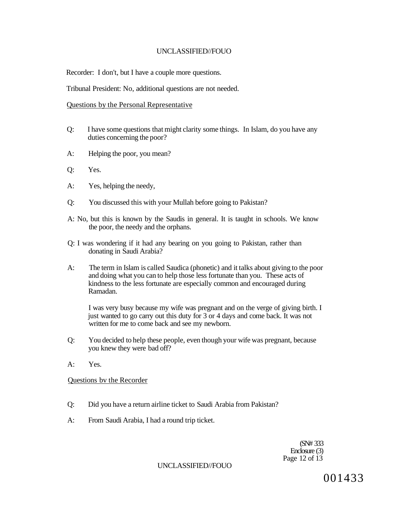Recorder: I don't, but I have a couple more questions.

Tribunal President: No, additional questions are not needed.

#### Questions by the Personal Representative

- Q: I have some questions that might clarity some things. In Islam, do you have any duties concerning the poor?
- A: Helping the poor, you mean?
- Q: Yes.
- A: Yes, helping the needy,
- Q: You discussed this with your Mullah before going to Pakistan?
- A: No, but this is known by the Saudis in general. It is taught in schools. We know the poor, the needy and the orphans.
- Q: I was wondering if it had any bearing on you going to Pakistan, rather than donating in Saudi Arabia?
- A: The term in Islam is called Saudica (phonetic) and it talks about giving to the poor and doing what you can to help those less fortunate than you. These acts of kindness to the less fortunate are especially common and encouraged during Ramadan.

I was very busy because my wife was pregnant and on the verge of giving birth. I just wanted to go carry out this duty for 3 or 4 days and come back. It was not written for me to come back and see my newborn.

- Q: You decided to help these people, even though your wife was pregnant, because you knew they were bad off?
- A: Yes.

Questions bv the Recorder

- Q: Did you have a return airline ticket to Saudi Arabia from Pakistan?
- A: From Saudi Arabia, I had a round trip ticket.

(SN# 333 Enclosure (3) Page 12 of 13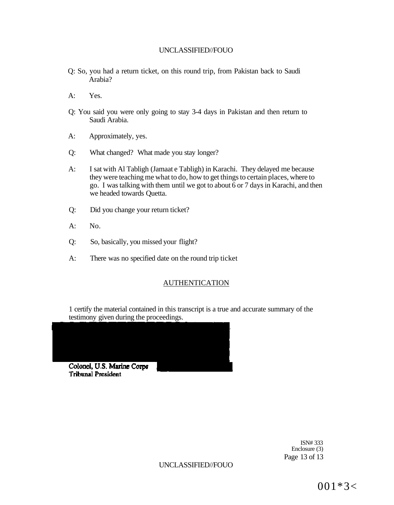- Q: So, you had a return ticket, on this round trip, from Pakistan back to Saudi Arabia?
- A: Yes.
- Q: You said you were only going to stay 3-4 days in Pakistan and then return to Saudi Arabia.
- A: Approximately, yes.
- Q: What changed? What made you stay longer?
- A: I sat with Al Tabligh (Jamaat e Tabligh) in Karachi. They delayed me because they were teaching me what to do, how to get things to certain places, where to go. I was talking with them until we got to about  $\overline{6}$  or 7 days in Karachi, and then we headed towards Quetta.
- Q: Did you change your return ticket?
- $A:$  No.
- Q: So, basically, you missed your flight?
- A: There was no specified date on the round trip ticket

# AUTHENTICATION

1 certify the material contained in this transcript is a true and accurate summary of the testimony given during the proceedings.



ISN# 333 Enclosure (3) Page 13 of 13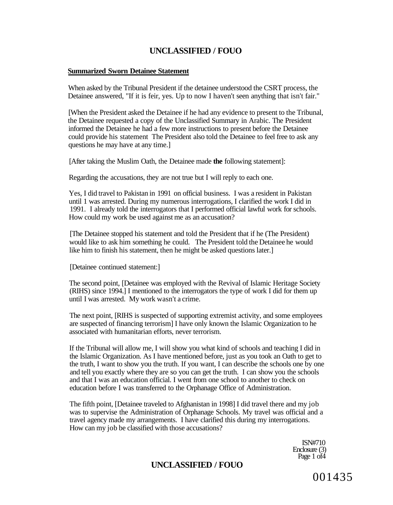#### **Summarized Sworn Detainee Statement**

When asked by the Tribunal President if the detainee understood the CSRT process, the Detainee answered, "If it is feir, yes. Up to now I haven't seen anything that isn't fair."

[When the President asked the Detainee if he had any evidence to present to the Tribunal, the Detainee requested a copy of the Unclassified Summary in Arabic. The President informed the Detainee he had a few more instructions to present before the Detainee could provide his statement The President also told the Detainee to feel free to ask any questions he may have at any time.]

[After taking the Muslim Oath, the Detainee made **the** following statement]:

Regarding the accusations, they are not true but I will reply to each one.

Yes, I did travel to Pakistan in 1991 on official business. I was a resident in Pakistan until 1 was arrested. During my numerous interrogations, I clarified the work I did in 1991. I already told the interrogators that I performed official lawful work for schools. How could my work be used against me as an accusation?

[The Detainee stopped his statement and told the President that if he (The President) would like to ask him something he could. The President told the Detainee he would like him to finish his statement, then he might be asked questions later.

[Detainee continued statement:]

The second point, [Detainee was employed with the Revival of Islamic Heritage Society (RIHS) since 1994.] I mentioned to the interrogators the type of work I did for them up until I was arrested. My work wasn't a crime.

The next point, [RIHS is suspected of supporting extremist activity, and some employees are suspected of financing terrorism] I have only known the Islamic Organization to he associated with humanitarian efforts, never terrorism.

If the Tribunal will allow me, I will show you what kind of schools and teaching I did in the Islamic Organization. As I have mentioned before, just as you took an Oath to get to the truth, I want to show you the truth. If you want, I can describe the schools one by one and tell you exactly where they are so you can get the truth. I can show you the schools and that I was an education official. I went from one school to another to check on education before I was transferred to the Orphanage Office of Administration.

The fifth point, [Detainee traveled to Afghanistan in 1998] I did travel there and my job was to supervise the Administration of Orphanage Schools. My travel was official and a travel agency made my arrangements. I have clarified this during my interrogations. How can my job be classified with those accusations?

> ISN#710 Enclosure (3) Page 1 of4

# **UNCLASSIFIED / FOUO**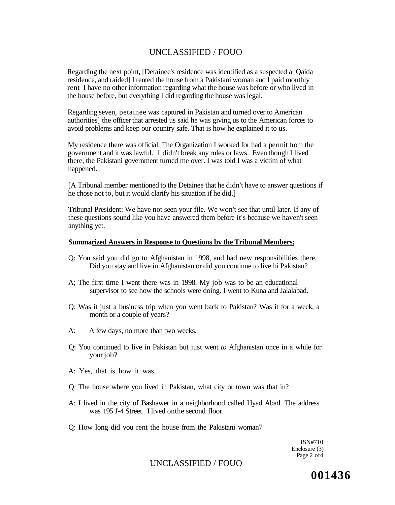Regarding the next point, [Detainee's residence was identified as a suspected al Qaida residence, and raided] I rented the house from a Pakistani woman and I paid monthly rent I have no other information regarding what the house was before or who lived in the house before, but everything I did regarding the house was legal.

Regarding seven, petainee was captured in Pakistan and turned over to American authorities] the officer that arrested us said he was giving us to the American forces to avoid problems and keep our country safe. That is how he explained it to us.

My residence there was official. The Organization I worked for had a permit from the government and it was lawful. 1 didn't break any rules or laws. Even though I lived there, the Pakistani government turned me over. I was told I was a victim of what happened.

[A Tribunal member mentioned to the Detainee that he didn't have to answer questions if he chose not to, but it would clarify his situation if he did.]

Tribunal President: We have not seen your file. We won't see that until later. If any of these questions sound like you have answered them before it's because we haven't seen anything yet.

#### **Summarized Answers in Response to Questions bv the Tribunal Members;**

- Q: You said you did go to Afghanistan in 1998, and had new responsibilities there. Did you stay and live in Afghanistan or did you continue to live hi Pakistan?
- A; The first time I went there was in 1998. My job was to be an educational supervisor to see how the schools were doing. I went to Kuna and Jalalabad.
- Q: Was it just a business trip when you went back to Pakistan? Was it for a week, a month or a couple of years?
- A: A few days, no more than two weeks.
- Q: You continued to live in Pakistan but just went *to* Afghanistan once in a while for your job?
- A: Yes, that is how it was.
- Q: The house where you lived in Pakistan, what city or town was that in?
- A: I lived in the city of Bashawer in a neighborhood called Hyad Abad. The address was 195 J-4 Street. I lived onthe second floor.
- Q: How long did you rent the house from the Pakistani woman7

ISN#710 Enclosure (3) Page 2 of4

## UNCLASSIFIED / FOUO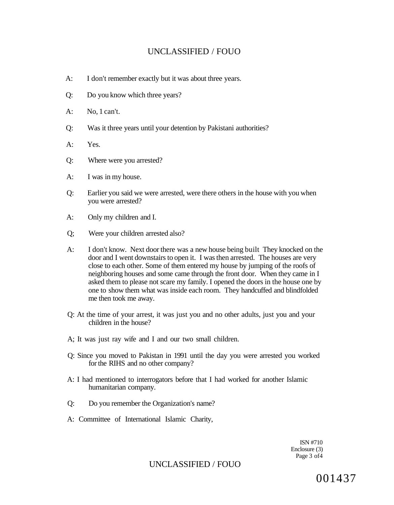- A: I don't remember exactly but it was about three years.
- Q: Do you know which three years?
- A: No, 1 can't.
- Q: Was it three years until your detention by Pakistani authorities?
- A: Yes.
- Q: Where were you arrested?
- A: I was in my house.
- Q: Earlier you said we were arrested, were there others in the house with you when you were arrested?
- A: Only my children and I.
- Q; Were your children arrested also?
- A: I don't know. Next door there was a new house being built They knocked on the door and I went downstairs to open it. I was then arrested. The houses are very close to each other. Some of them entered my house by jumping of the roofs of neighboring houses and some came through the front door. When they came in I asked them to please not scare my family. I opened the doors in the house one by one to show them what was inside each room. They handcuffed and blindfolded me then took me away.
- Q: At the time of your arrest, it was just you and no other adults, just you and your children in the house?
- A; It was just ray wife and I and our two small children.
- Q: Since you moved to Pakistan in 1991 until the day you were arrested you worked for the RIHS and no other company?
- A: I had mentioned to interrogators before that I had worked for another Islamic humanitarian company.
- Q: Do you remember the Organization's name?
- A: Committee of International Islamic Charity,

ISN #710 Enclosure (3) Page 3 of4

### UNCLASSIFIED / FOUO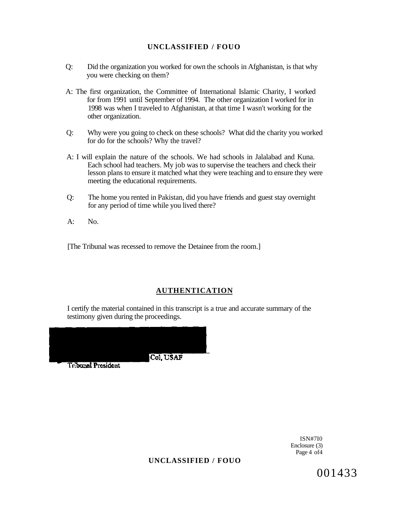- Q: Did the organization you worked for own the schools in Afghanistan, is that why you were checking on them?
- A: The first organization, the Committee of International Islamic Charity, I worked for from 1991 until September of 1994. The other organization I worked for in 1998 was when I traveled to Afghanistan, at that time I wasn't working for the other organization.
- Q: Why were you going to check on these schools? What did the charity you worked for do for the schools? Why the travel?
- A: I will explain the nature of the schools. We had schools in Jalalabad and Kuna. Each school had teachers. My job was to supervise the teachers and check their lesson plans to ensure it matched what they were teaching and to ensure they were meeting the educational requirements.
- Q: The home you rented in Pakistan, did you have friends and guest stay overnight for any period of time while you lived there?
- $A:$  No.

[The Tribunal was recessed to remove the Detainee from the room.]

## **AUTHENTICATION**

I certify the material contained in this transcript is a true and accurate summary of the testimony given during the proceedings.



ISN#7I0 Enclosure (3) Page 4 of 4

**UNCLASSIFIED / FOUO**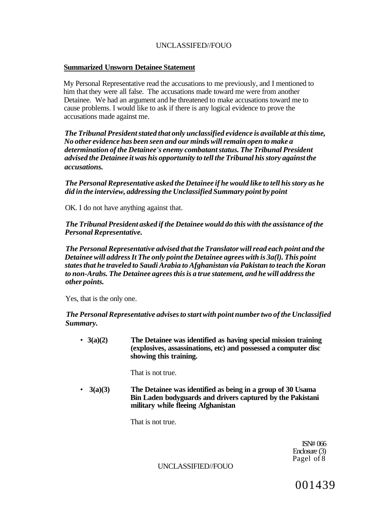#### **Summarized Unsworn Detainee Statement**

My Personal Representative read the accusations to me previously, and I mentioned to him that they were all false. The accusations made toward me were from another Detainee. We had an argument and he threatened to make accusations toward me to cause problems. I would like to ask if there is any logical evidence to prove the accusations made against me.

*The Tribunal President stated that only unclassified evidence is available at this time, No other evidence has been seen and our minds will remain open to make a determination of the Detainee's enemy combatant status. The Tribunal President advised the Detainee it was his opportunity to tell the Tribunal his story against the accusations.* 

*The Personal Representative asked the Detainee if he would like to tell his story as he did in the interview, addressing the Unclassified Summary point by point* 

OK. I do not have anything against that.

*The Tribunal President asked if the Detainee would do this with the assistance of the Personal Representative.* 

*The Personal Representative advised that the Translator will read each point and the Detainee will address It The only point the Detainee agrees with is 3a(l). This point states that he traveled to Saudi Arabia to Afghanistan via Pakistan to teach the Koran to non-Arabs. The Detainee agrees this is a true statement, and he will address the other points.* 

Yes, that is the only one.

*The Personal Representative advises to start with point number two of the Unclassified Summary.* 

• **3(a)(2) The Detainee was identified as having special mission training (explosives, assassinations, etc) and possessed a computer disc showing this training.** 

That is not true.

• **3(a)(3) The Detainee was identified as being in a group of 30 Usama Bin Laden bodyguards and drivers captured by the Pakistani military while fleeing Afghanistan** 

That is not true.

ISN# 066 Enclosure (3) Pagel of 8

UNCLASSIFIED//FOUO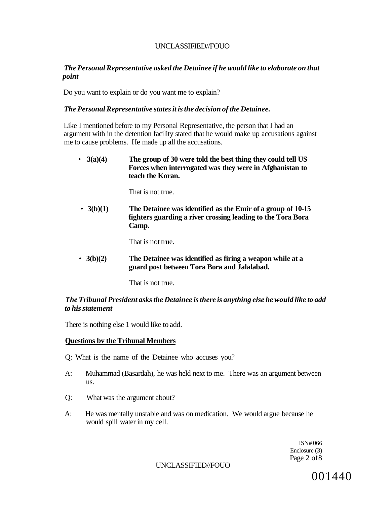#### *The Personal Representative asked the Detainee if he would like to elaborate on that point*

Do you want to explain or do you want me to explain?

#### *The Personal Representative states it is the decision of the Detainee.*

Like I mentioned before to my Personal Representative, the person that I had an argument with in the detention facility stated that he would make up accusations against me to cause problems. He made up all the accusations.

• **3(a)(4) The group of 30 were told the best thing they could tell US Forces when interrogated was they were in Afghanistan to teach the Koran.** 

That is not true.

• **3(b)(1) The Detainee was identified as the Emir of a group of 10-15 fighters guarding a river crossing leading to the Tora Bora Camp.** 

That is not true.

• **3(b)(2) The Detainee was identified as firing a weapon while at a guard post between Tora Bora and Jalalabad.** 

That is not true.

#### *The Tribunal President asks the Detainee is there is anything else he would like to add to his statement*

There is nothing else 1 would like to add.

#### **Questions bv the Tribunal Members**

Q: What is the name of the Detainee who accuses you?

- A: Muhammad (Basardah), he was held next to me. There was an argument between us.
- Q: What was the argument about?
- A: He was mentally unstable and was on medication. We would argue because he would spill water in my cell.

ISN# 066 Enclosure (3) Page 2 of8

UNCLASSIFIED//FOUO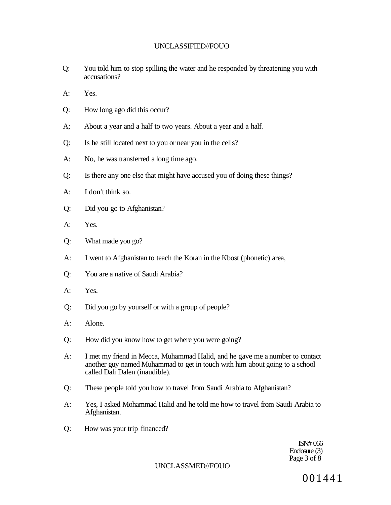- Q: You told him to stop spilling the water and he responded by threatening you with accusations?
- A: Yes.
- Q: How long ago did this occur?
- A; About a year and a half to two years. About a year and a half.
- Q: Is he still located next to you or near you in the cells?
- A: No, he was transferred a long time ago.
- Q: Is there any one else that might have accused you of doing these things?
- A: I don't think so.
- Q: Did you go to Afghanistan?
- A: Yes.
- Q: What made you go?
- A: I went to Afghanistan to teach the Koran in the Kbost (phonetic) area,
- Q: You are a native of Saudi Arabia?
- A: Yes.
- Q: Did you go by yourself or with a group of people?
- A: Alone.
- Q: How did you know how to get where you were going?
- A: I met my friend in Mecca, Muhammad Halid, and he gave me a number to contact another guy named Muhammad to get in touch with him about going to a school called Dali Dalen (inaudible).
- Q: These people told you how to travel from Saudi Arabia to Afghanistan?
- A: Yes, I asked Mohammad Halid and he told me how to travel from Saudi Arabia to Afghanistan.
- Q: How was your trip financed?

ISN# 066 Enclosure (3) Page 3 of 8

UNCLASSMED//FOUO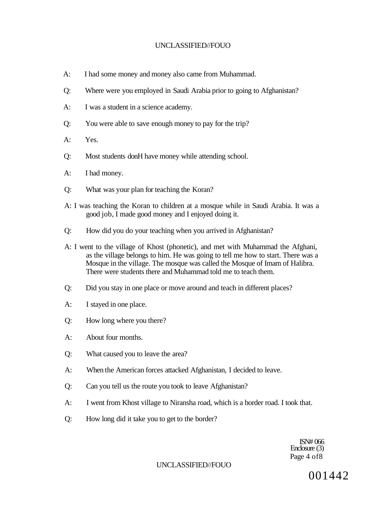- A: I had some money and money also came from Muhammad.
- Q: Where were you employed in Saudi Arabia prior to going to Afghanistan?
- A: I was a student in a science academy.
- Q: You were able to save enough money to pay for the trip?
- A: Yes.
- Q: Most students donH have money while attending school.
- A: I had money.
- Q: What was your plan for teaching the Koran?
- A: I was teaching the Koran to children at a mosque while in Saudi Arabia. It was a good job, I made good money and I enjoyed doing it.
- Q: How did you do your teaching when you arrived in Afghanistan?
- A: I went to the village of Khost (phonetic), and met with Muhammad the Afghani, as the village belongs to him. He was going to tell me how to start. There was a Mosque in the village. The mosque was called the Mosque of Imam of Halibra. There were students there and Muhammad told me to teach them.
- Q: Did you stay in one place or move around and teach in different places?
- A: I stayed in one place.
- Q: How long where you there?
- A: About four months.
- Q: What caused you to leave the area?
- A: When the American forces attacked Afghanistan, I decided to leave.
- Q: Can you tell us the route you took to leave Afghanistan?
- A: I went from Khost village to Niransha road, which is a border road. I took that.
- Q: How long did it take you to get to the border?

ISN# 066 Enclosure (3) Page 4 of8

#### UNCLASSIFIED//FOUO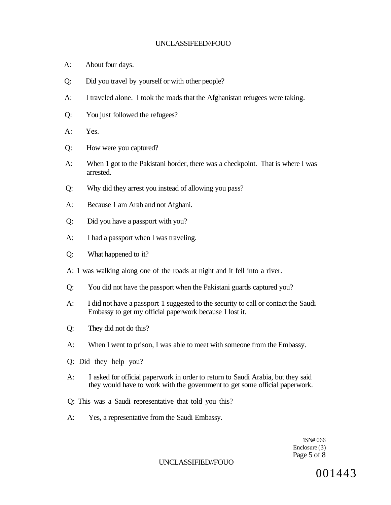- A: About four days.
- Q: Did you travel by yourself or with other people?
- A: I traveled alone. I took the roads that the Afghanistan refugees were taking.
- Q: You just followed the refugees?
- A: Yes.
- Q: How were you captured?
- A: When 1 got to the Pakistani border, there was a checkpoint. That is where I was arrested.
- Q: Why did they arrest you instead of allowing you pass?
- A: Because 1 am Arab and not Afghani.
- Q: Did you have a passport with you?
- A: I had a passport when I was traveling.
- Q: What happened to it?
- A: 1 was walking along one of the roads at night and it fell into a river.
- Q: You did not have the passport when the Pakistani guards captured you?
- A: I did not have a passport 1 suggested to the security to call or contact the Saudi Embassy to get my official paperwork because I lost it.
- Q: They did not do this?
- A: When I went to prison, I was able to meet with someone from the Embassy.
- Q: Did they help you?
- A: I asked for official paperwork in order to return to Saudi Arabia, but they said they would have to work with the government to get some official paperwork.
- Q: This was a Saudi representative that told you this?
- A: Yes, a representative from the Saudi Embassy.

1SN# 066 Enclosure (3) Page 5 of 8

#### UNCLASSIFIED//FOUO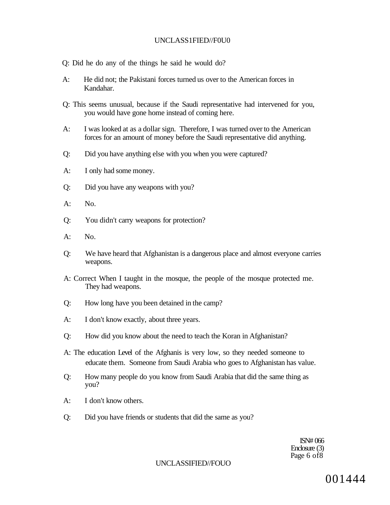#### UNCLASS1FIED//F0U0

- Q: Did he do any of the things he said he would do?
- A: He did not; the Pakistani forces turned us over to the American forces in Kandahar.
- Q: This seems unusual, because if the Saudi representative had intervened for you, you would have gone home instead of coming here.
- A: I was looked at as a dollar sign. Therefore, I was turned over to the American forces for an amount of money before the Saudi representative did anything.
- Q: Did you have anything else with you when you were captured?
- A: I only had some money.
- Q: Did you have any weapons with you?
- $A:$  No.
- Q: You didn't carry weapons for protection?
- A: No.
- Q: We have heard that Afghanistan is a dangerous place and almost everyone carries weapons.
- A: Correct When I taught in the mosque, the people of the mosque protected me. They had weapons.
- Q: How long have you been detained in the camp?
- A: I don't know exactly, about three years.
- Q: How did you know about the need to teach the Koran in Afghanistan?
- A: The education Level of the Afghanis is very low, so they needed someone to educate them. Someone from Saudi Arabia who goes to Afghanistan has value.
- Q: How many people do you know from Saudi Arabia that did the same thing as you?
- A: I don't know others.
- Q: Did you have friends or students that did the same as you?

ISN# 066 Enclosure (3) Page 6 of8

#### UNCLASSIFIED//FOUO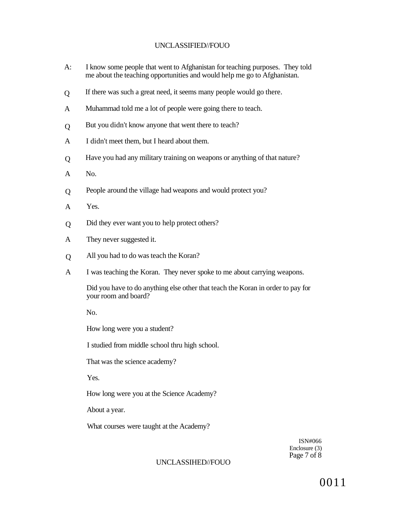- A: I know some people that went to Afghanistan for teaching purposes. They told me about the teaching opportunities and would help me go to Afghanistan.
- $\overline{O}$ If there was such a great need, it seems many people would go there.
- A Muhammad told me a lot of people were going there to teach.
- $\Omega$ But you didn't know anyone that went there to teach?
- A I didn't meet them, but I heard about them.
- $\overline{O}$ Have you had any military training on weapons or anything of that nature?
- A No.
- Q People around the village had weapons and would protect you?
- A Yes.
- Q Did they ever want you to help protect others?
- A They never suggested it.
- Q All you had to do was teach the Koran?
- A I was teaching the Koran. They never spoke to me about carrying weapons.

Did you have to do anything else other that teach the Koran in order to pay for your room and board?

No.

How long were you a student?

I studied from middle school thru high school.

That was the science academy?

Yes.

How long were you at the Science Academy?

About a year.

What courses were taught at the Academy?

ISN#066 Enclosure (3) Page 7 of  $\dot{8}$ 

#### UNCLASSIHED//FOUO